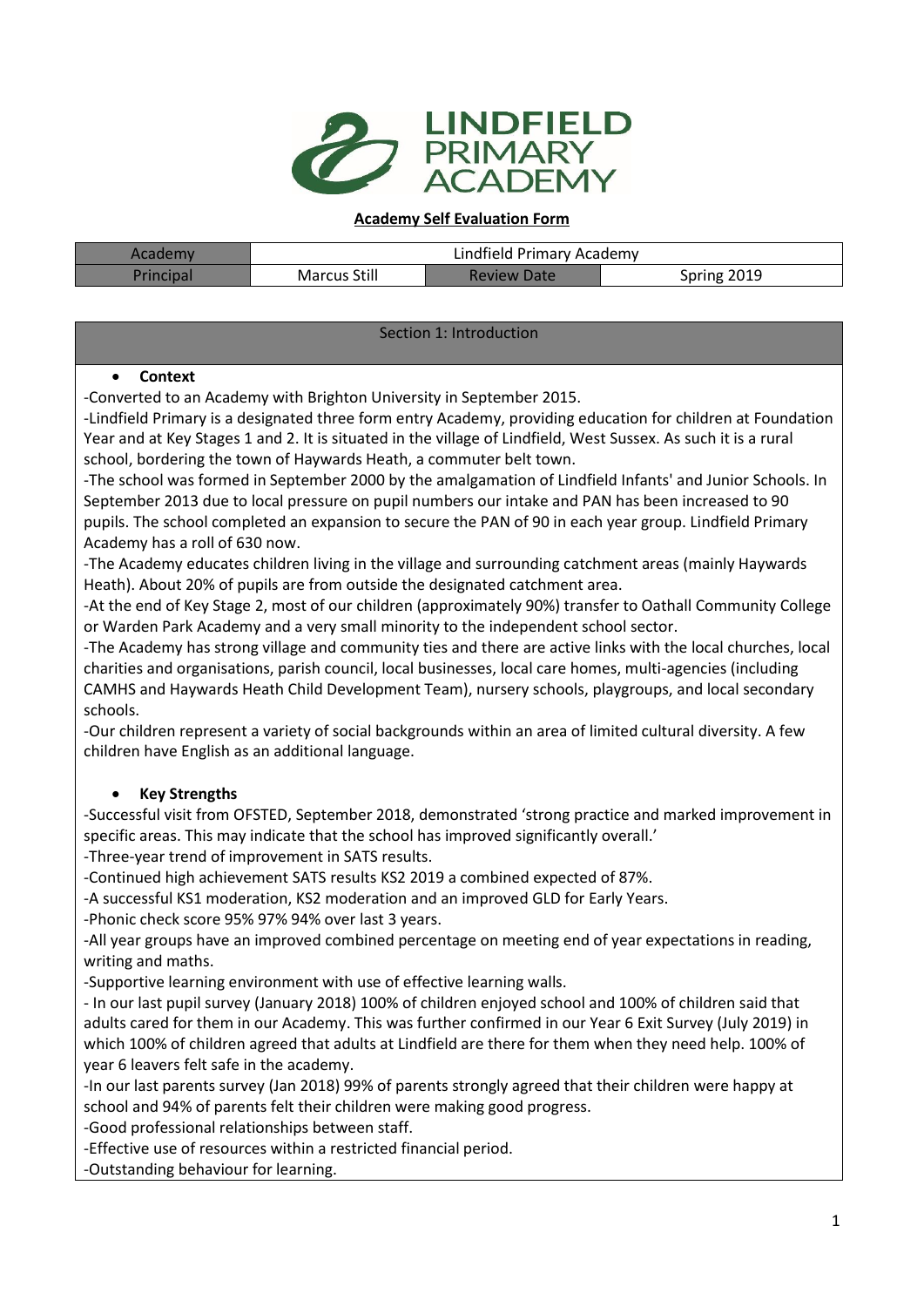

#### **Academy Self Evaluation Form**

| Academy          | Lindfield Primary Academy |                    |             |  |  |  |  |  |  |
|------------------|---------------------------|--------------------|-------------|--|--|--|--|--|--|
| <b>Principal</b> | <b>Marcus Still</b>       | <b>Review Date</b> | Spring 2019 |  |  |  |  |  |  |

#### Section 1: Introduction

### • **Context**

-Converted to an Academy with Brighton University in September 2015.

-Lindfield Primary is a designated three form entry Academy, providing education for children at Foundation Year and at Key Stages 1 and 2. It is situated in the village of Lindfield, West Sussex. As such it is a rural school, bordering the town of Haywards Heath, a commuter belt town.

-The school was formed in September 2000 by the amalgamation of Lindfield Infants' and Junior Schools. In September 2013 due to local pressure on pupil numbers our intake and PAN has been increased to 90 pupils. The school completed an expansion to secure the PAN of 90 in each year group. Lindfield Primary Academy has a roll of 630 now.

-The Academy educates children living in the village and surrounding catchment areas (mainly Haywards Heath). About 20% of pupils are from outside the designated catchment area.

-At the end of Key Stage 2, most of our children (approximately 90%) transfer to Oathall Community College or Warden Park Academy and a very small minority to the independent school sector.

-The Academy has strong village and community ties and there are active links with the local churches, local charities and organisations, parish council, local businesses, local care homes, multi-agencies (including CAMHS and Haywards Heath Child Development Team), nursery schools, playgroups, and local secondary schools.

-Our children represent a variety of social backgrounds within an area of limited cultural diversity. A few children have English as an additional language.

## • **Key Strengths**

-Successful visit from OFSTED, September 2018, demonstrated 'strong practice and marked improvement in specific areas. This may indicate that the school has improved significantly overall.'

-Three-year trend of improvement in SATS results.

-Continued high achievement SATS results KS2 2019 a combined expected of 87%.

-A successful KS1 moderation, KS2 moderation and an improved GLD for Early Years.

-Phonic check score 95% 97% 94% over last 3 years.

-All year groups have an improved combined percentage on meeting end of year expectations in reading, writing and maths.

-Supportive learning environment with use of effective learning walls.

- In our last pupil survey (January 2018) 100% of children enjoyed school and 100% of children said that adults cared for them in our Academy. This was further confirmed in our Year 6 Exit Survey (July 2019) in which 100% of children agreed that adults at Lindfield are there for them when they need help. 100% of year 6 leavers felt safe in the academy.

-In our last parents survey (Jan 2018) 99% of parents strongly agreed that their children were happy at school and 94% of parents felt their children were making good progress.

-Good professional relationships between staff.

-Effective use of resources within a restricted financial period.

-Outstanding behaviour for learning.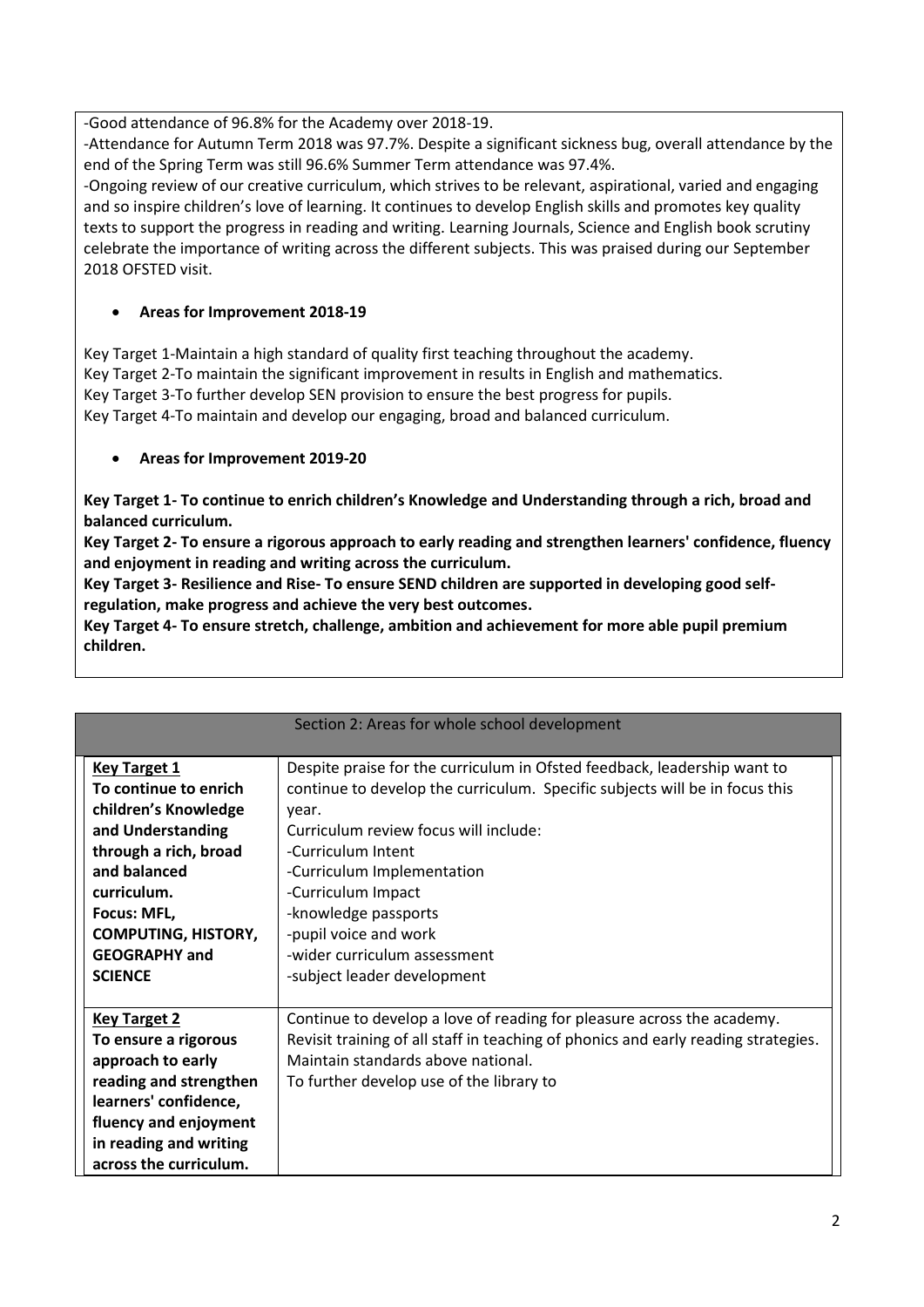-Good attendance of 96.8% for the Academy over 2018-19.

-Attendance for Autumn Term 2018 was 97.7%. Despite a significant sickness bug, overall attendance by the end of the Spring Term was still 96.6% Summer Term attendance was 97.4%.

-Ongoing review of our creative curriculum, which strives to be relevant, aspirational, varied and engaging and so inspire children's love of learning. It continues to develop English skills and promotes key quality texts to support the progress in reading and writing. Learning Journals, Science and English book scrutiny celebrate the importance of writing across the different subjects. This was praised during our September 2018 OFSTED visit.

# • **Areas for Improvement 2018-19**

Key Target 1-Maintain a high standard of quality first teaching throughout the academy. Key Target 2-To maintain the significant improvement in results in English and mathematics. Key Target 3-To further develop SEN provision to ensure the best progress for pupils. Key Target 4-To maintain and develop our engaging, broad and balanced curriculum.

• **Areas for Improvement 2019-20**

**Key Target 1- To continue to enrich children's Knowledge and Understanding through a rich, broad and balanced curriculum.**

**Key Target 2- To ensure a rigorous approach to early reading and strengthen learners' confidence, fluency and enjoyment in reading and writing across the curriculum.**

**Key Target 3- Resilience and Rise- To ensure SEND children are supported in developing good selfregulation, make progress and achieve the very best outcomes.**

**Key Target 4- To ensure stretch, challenge, ambition and achievement for more able pupil premium children.**

|                            | Section 2: Areas for whole school development                                      |
|----------------------------|------------------------------------------------------------------------------------|
|                            |                                                                                    |
| <b>Key Target 1</b>        | Despite praise for the curriculum in Ofsted feedback, leadership want to           |
| To continue to enrich      | continue to develop the curriculum. Specific subjects will be in focus this        |
| children's Knowledge       | year.                                                                              |
| and Understanding          | Curriculum review focus will include:                                              |
| through a rich, broad      | -Curriculum Intent                                                                 |
| and balanced               | -Curriculum Implementation                                                         |
| curriculum.                | -Curriculum Impact                                                                 |
| Focus: MFL,                | -knowledge passports                                                               |
| <b>COMPUTING, HISTORY,</b> | -pupil voice and work                                                              |
| <b>GEOGRAPHY and</b>       | -wider curriculum assessment                                                       |
| <b>SCIENCE</b>             | -subject leader development                                                        |
|                            |                                                                                    |
| <b>Key Target 2</b>        | Continue to develop a love of reading for pleasure across the academy.             |
| To ensure a rigorous       | Revisit training of all staff in teaching of phonics and early reading strategies. |
| approach to early          | Maintain standards above national.                                                 |
| reading and strengthen     | To further develop use of the library to                                           |
| learners' confidence,      |                                                                                    |
| fluency and enjoyment      |                                                                                    |
| in reading and writing     |                                                                                    |
| across the curriculum.     |                                                                                    |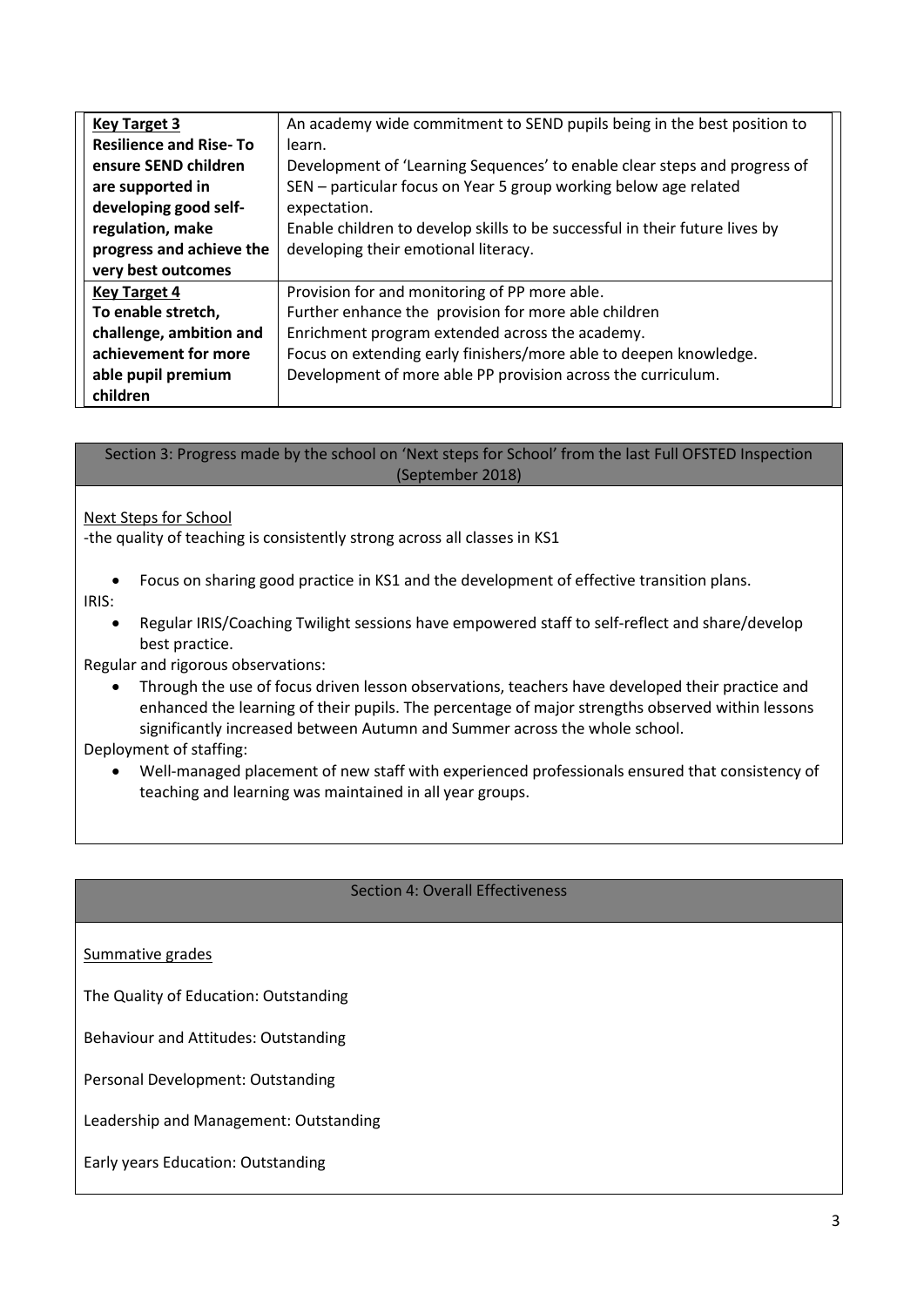| <b>Key Target 3</b>           | An academy wide commitment to SEND pupils being in the best position to     |
|-------------------------------|-----------------------------------------------------------------------------|
| <b>Resilience and Rise-To</b> | learn.                                                                      |
| ensure SEND children          | Development of 'Learning Sequences' to enable clear steps and progress of   |
| are supported in              | SEN - particular focus on Year 5 group working below age related            |
| developing good self-         | expectation.                                                                |
| regulation, make              | Enable children to develop skills to be successful in their future lives by |
| progress and achieve the      | developing their emotional literacy.                                        |
| very best outcomes            |                                                                             |
| <b>Key Target 4</b>           | Provision for and monitoring of PP more able.                               |
| To enable stretch,            | Further enhance the provision for more able children                        |
| challenge, ambition and       | Enrichment program extended across the academy.                             |
| achievement for more          | Focus on extending early finishers/more able to deepen knowledge.           |
| able pupil premium            | Development of more able PP provision across the curriculum.                |
| children                      |                                                                             |

Section 3: Progress made by the school on 'Next steps for School' from the last Full OFSTED Inspection (September 2018)

## Next Steps for School

-the quality of teaching is consistently strong across all classes in KS1

- Focus on sharing good practice in KS1 and the development of effective transition plans. IRIS:
	- Regular IRIS/Coaching Twilight sessions have empowered staff to self-reflect and share/develop best practice.

Regular and rigorous observations:

• Through the use of focus driven lesson observations, teachers have developed their practice and enhanced the learning of their pupils. The percentage of major strengths observed within lessons significantly increased between Autumn and Summer across the whole school.

#### Deployment of staffing:

• Well-managed placement of new staff with experienced professionals ensured that consistency of teaching and learning was maintained in all year groups.

## Section 4: Overall Effectiveness

Summative grades

The Quality of Education: Outstanding

Behaviour and Attitudes: Outstanding

Personal Development: Outstanding

Leadership and Management: Outstanding

Early years Education: Outstanding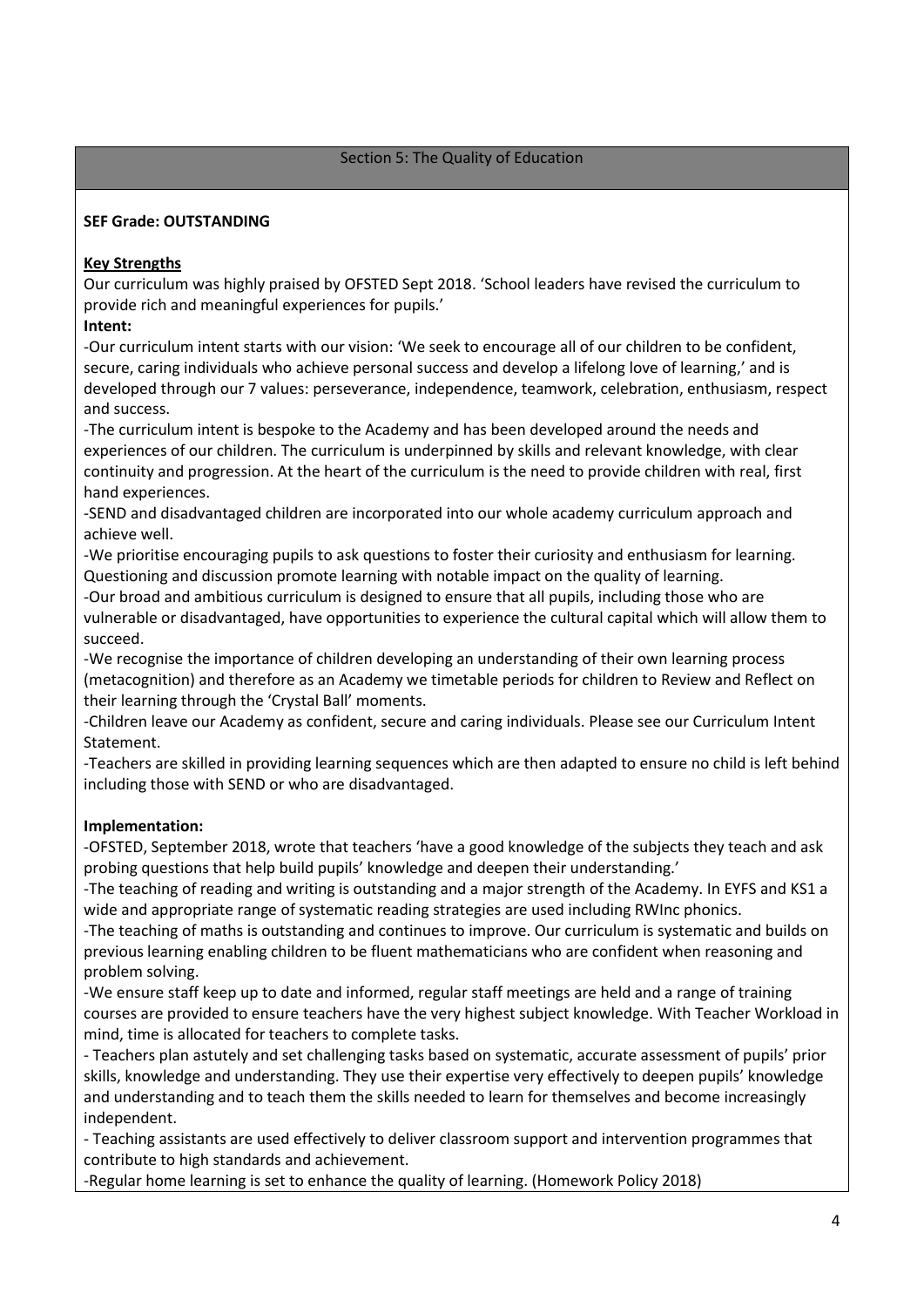## **SEF Grade: OUTSTANDING**

### **Key Strengths**

Our curriculum was highly praised by OFSTED Sept 2018. 'School leaders have revised the curriculum to provide rich and meaningful experiences for pupils.'

## **Intent:**

-Our curriculum intent starts with our vision: 'We seek to encourage all of our children to be confident, secure, caring individuals who achieve personal success and develop a lifelong love of learning,' and is developed through our 7 values: perseverance, independence, teamwork, celebration, enthusiasm, respect and success.

-The curriculum intent is bespoke to the Academy and has been developed around the needs and experiences of our children. The curriculum is underpinned by skills and relevant knowledge, with clear continuity and progression. At the heart of the curriculum is the need to provide children with real, first hand experiences.

-SEND and disadvantaged children are incorporated into our whole academy curriculum approach and achieve well.

-We prioritise encouraging pupils to ask questions to foster their curiosity and enthusiasm for learning. Questioning and discussion promote learning with notable impact on the quality of learning.

-Our broad and ambitious curriculum is designed to ensure that all pupils, including those who are vulnerable or disadvantaged, have opportunities to experience the cultural capital which will allow them to succeed.

-We recognise the importance of children developing an understanding of their own learning process (metacognition) and therefore as an Academy we timetable periods for children to Review and Reflect on their learning through the 'Crystal Ball' moments.

-Children leave our Academy as confident, secure and caring individuals. Please see our Curriculum Intent Statement.

-Teachers are skilled in providing learning sequences which are then adapted to ensure no child is left behind including those with SEND or who are disadvantaged.

## **Implementation:**

-OFSTED, September 2018, wrote that teachers 'have a good knowledge of the subjects they teach and ask probing questions that help build pupils' knowledge and deepen their understanding.'

-The teaching of reading and writing is outstanding and a major strength of the Academy. In EYFS and KS1 a wide and appropriate range of systematic reading strategies are used including RWInc phonics.

-The teaching of maths is outstanding and continues to improve. Our curriculum is systematic and builds on previous learning enabling children to be fluent mathematicians who are confident when reasoning and problem solving.

-We ensure staff keep up to date and informed, regular staff meetings are held and a range of training courses are provided to ensure teachers have the very highest subject knowledge. With Teacher Workload in mind, time is allocated for teachers to complete tasks.

- Teachers plan astutely and set challenging tasks based on systematic, accurate assessment of pupils' prior skills, knowledge and understanding. They use their expertise very effectively to deepen pupils' knowledge and understanding and to teach them the skills needed to learn for themselves and become increasingly independent.

- Teaching assistants are used effectively to deliver classroom support and intervention programmes that contribute to high standards and achievement.

-Regular home learning is set to enhance the quality of learning. (Homework Policy 2018)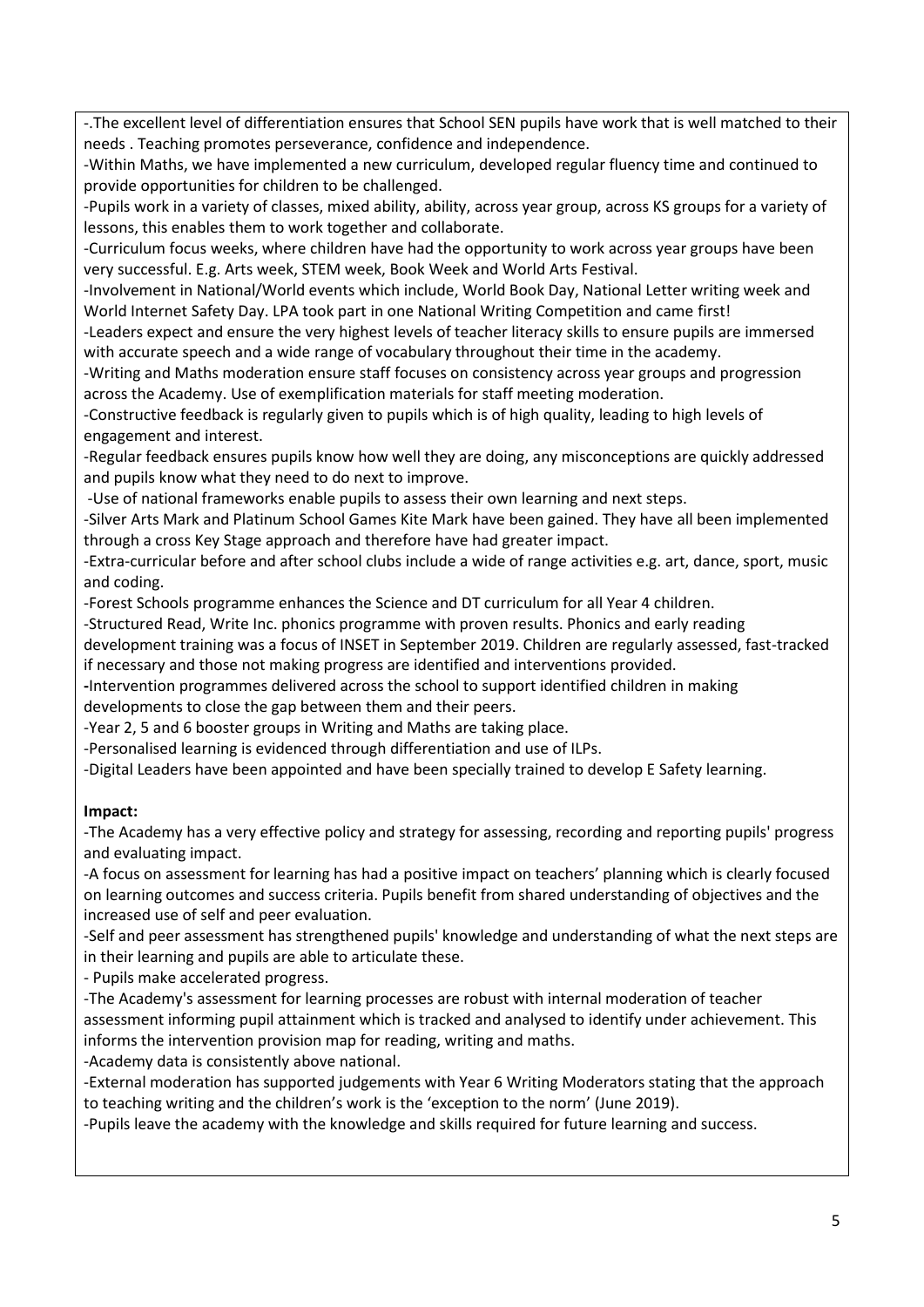-.The excellent level of differentiation ensures that School SEN pupils have work that is well matched to their needs . Teaching promotes perseverance, confidence and independence.

-Within Maths, we have implemented a new curriculum, developed regular fluency time and continued to provide opportunities for children to be challenged.

-Pupils work in a variety of classes, mixed ability, ability, across year group, across KS groups for a variety of lessons, this enables them to work together and collaborate.

-Curriculum focus weeks, where children have had the opportunity to work across year groups have been very successful. E.g. Arts week, STEM week, Book Week and World Arts Festival.

-Involvement in National/World events which include, World Book Day, National Letter writing week and World Internet Safety Day. LPA took part in one National Writing Competition and came first!

-Leaders expect and ensure the very highest levels of teacher literacy skills to ensure pupils are immersed with accurate speech and a wide range of vocabulary throughout their time in the academy.

-Writing and Maths moderation ensure staff focuses on consistency across year groups and progression across the Academy. Use of exemplification materials for staff meeting moderation.

-Constructive feedback is regularly given to pupils which is of high quality, leading to high levels of engagement and interest.

-Regular feedback ensures pupils know how well they are doing, any misconceptions are quickly addressed and pupils know what they need to do next to improve.

-Use of national frameworks enable pupils to assess their own learning and next steps.

-Silver Arts Mark and Platinum School Games Kite Mark have been gained. They have all been implemented through a cross Key Stage approach and therefore have had greater impact.

-Extra-curricular before and after school clubs include a wide of range activities e.g. art, dance, sport, music and coding.

-Forest Schools programme enhances the Science and DT curriculum for all Year 4 children.

-Structured Read, Write Inc. phonics programme with proven results. Phonics and early reading

development training was a focus of INSET in September 2019. Children are regularly assessed, fast-tracked if necessary and those not making progress are identified and interventions provided.

**-**Intervention programmes delivered across the school to support identified children in making developments to close the gap between them and their peers.

-Year 2, 5 and 6 booster groups in Writing and Maths are taking place.

-Personalised learning is evidenced through differentiation and use of ILPs.

-Digital Leaders have been appointed and have been specially trained to develop E Safety learning.

## **Impact:**

-The Academy has a very effective policy and strategy for assessing, recording and reporting pupils' progress and evaluating impact.

-A focus on assessment for learning has had a positive impact on teachers' planning which is clearly focused on learning outcomes and success criteria. Pupils benefit from shared understanding of objectives and the increased use of self and peer evaluation.

-Self and peer assessment has strengthened pupils' knowledge and understanding of what the next steps are in their learning and pupils are able to articulate these.

- Pupils make accelerated progress.

-The Academy's assessment for learning processes are robust with internal moderation of teacher assessment informing pupil attainment which is tracked and analysed to identify under achievement. This informs the intervention provision map for reading, writing and maths.

-Academy data is consistently above national.

-External moderation has supported judgements with Year 6 Writing Moderators stating that the approach to teaching writing and the children's work is the 'exception to the norm' (June 2019).

-Pupils leave the academy with the knowledge and skills required for future learning and success.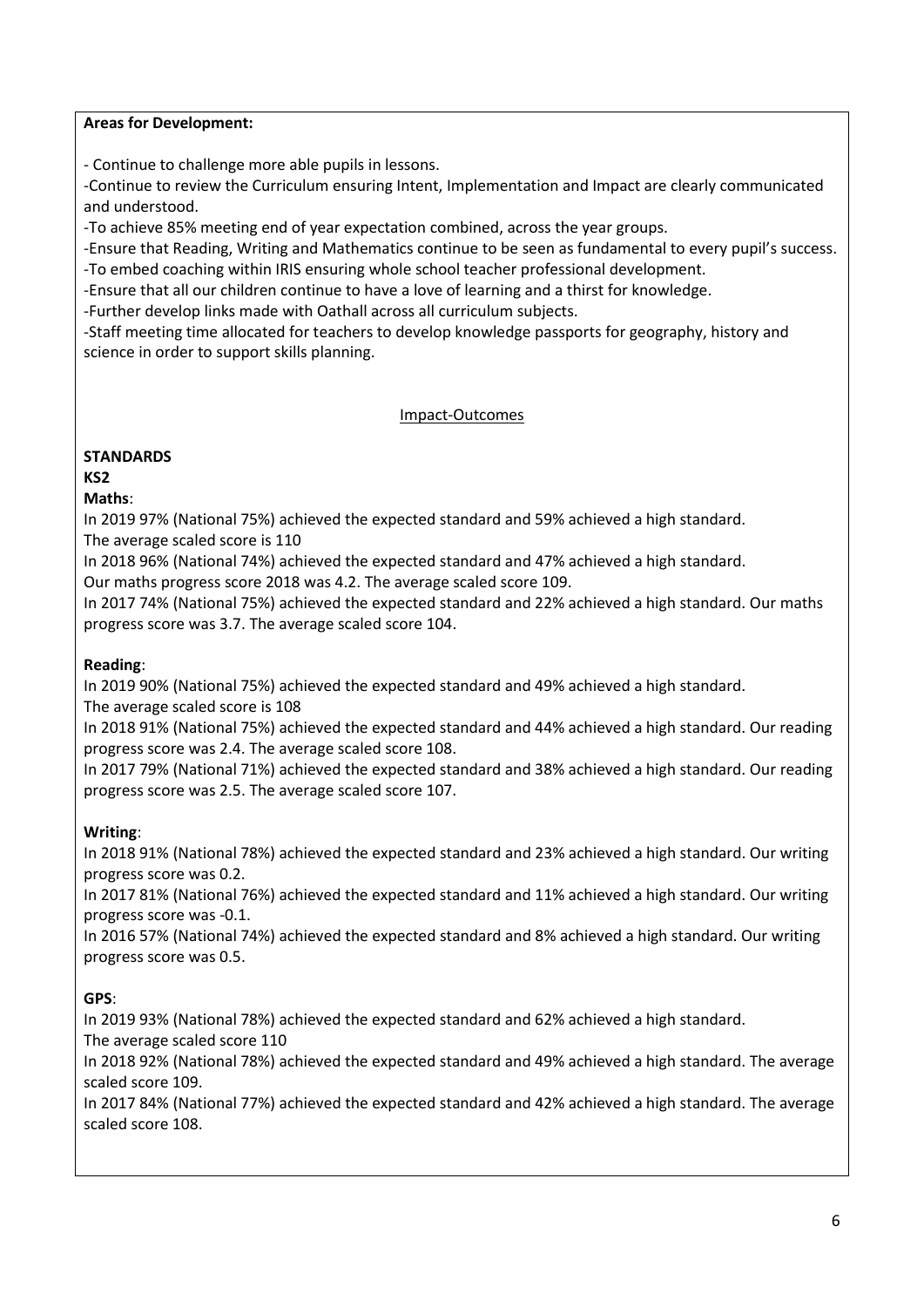### **Areas for Development:**

- Continue to challenge more able pupils in lessons.

-Continue to review the Curriculum ensuring Intent, Implementation and Impact are clearly communicated and understood.

-To achieve 85% meeting end of year expectation combined, across the year groups.

-Ensure that Reading, Writing and Mathematics continue to be seen as fundamental to every pupil's success. -To embed coaching within IRIS ensuring whole school teacher professional development.

-Ensure that all our children continue to have a love of learning and a thirst for knowledge.

-Further develop links made with Oathall across all curriculum subjects.

-Staff meeting time allocated for teachers to develop knowledge passports for geography, history and science in order to support skills planning.

### Impact-Outcomes

# **STANDARDS**

## **KS2**

## **Maths**:

In 2019 97% (National 75%) achieved the expected standard and 59% achieved a high standard. The average scaled score is 110

In 2018 96% (National 74%) achieved the expected standard and 47% achieved a high standard.

Our maths progress score 2018 was 4.2. The average scaled score 109.

In 2017 74% (National 75%) achieved the expected standard and 22% achieved a high standard. Our maths progress score was 3.7. The average scaled score 104.

## **Reading**:

In 2019 90% (National 75%) achieved the expected standard and 49% achieved a high standard. The average scaled score is 108

In 2018 91% (National 75%) achieved the expected standard and 44% achieved a high standard. Our reading progress score was 2.4. The average scaled score 108.

In 2017 79% (National 71%) achieved the expected standard and 38% achieved a high standard. Our reading progress score was 2.5. The average scaled score 107.

## **Writing**:

In 2018 91% (National 78%) achieved the expected standard and 23% achieved a high standard. Our writing progress score was 0.2.

In 2017 81% (National 76%) achieved the expected standard and 11% achieved a high standard. Our writing progress score was -0.1.

In 2016 57% (National 74%) achieved the expected standard and 8% achieved a high standard. Our writing progress score was 0.5.

## **GPS**:

In 2019 93% (National 78%) achieved the expected standard and 62% achieved a high standard.

The average scaled score 110

In 2018 92% (National 78%) achieved the expected standard and 49% achieved a high standard. The average scaled score 109.

In 2017 84% (National 77%) achieved the expected standard and 42% achieved a high standard. The average scaled score 108.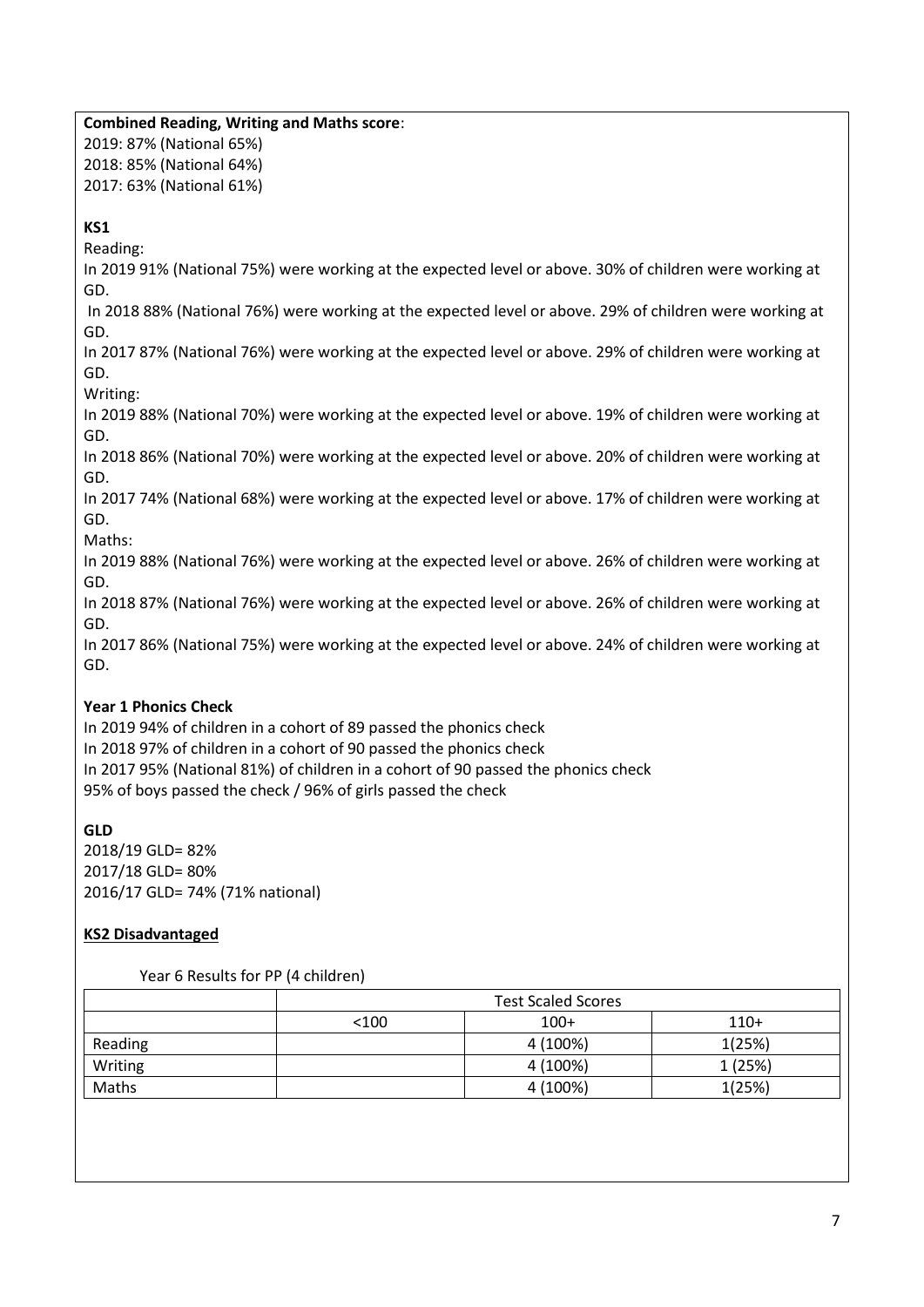# **Combined Reading, Writing and Maths score**:

2019: 87% (National 65%) 2018: 85% (National 64%) 2017: 63% (National 61%)

# **KS1**

Reading:

In 2019 91% (National 75%) were working at the expected level or above. 30% of children were working at GD.

In 2018 88% (National 76%) were working at the expected level or above. 29% of children were working at GD.

In 2017 87% (National 76%) were working at the expected level or above. 29% of children were working at GD.

Writing:

In 2019 88% (National 70%) were working at the expected level or above. 19% of children were working at GD.

In 2018 86% (National 70%) were working at the expected level or above. 20% of children were working at GD.

In 2017 74% (National 68%) were working at the expected level or above. 17% of children were working at GD.

Maths:

In 2019 88% (National 76%) were working at the expected level or above. 26% of children were working at GD.

In 2018 87% (National 76%) were working at the expected level or above. 26% of children were working at GD.

In 2017 86% (National 75%) were working at the expected level or above. 24% of children were working at GD.

## **Year 1 Phonics Check**

In 2019 94% of children in a cohort of 89 passed the phonics check In 2018 97% of children in a cohort of 90 passed the phonics check In 2017 95% (National 81%) of children in a cohort of 90 passed the phonics check 95% of boys passed the check / 96% of girls passed the check

## **GLD**

2018/19 GLD= 82% 2017/18 GLD= 80% 2016/17 GLD= 74% (71% national)

## **KS2 Disadvantaged**

Year 6 Results for PP (4 children)

|         | <b>Test Scaled Scores</b> |          |         |  |  |  |  |  |  |  |  |
|---------|---------------------------|----------|---------|--|--|--|--|--|--|--|--|
|         | < 100                     | $100+$   | $110+$  |  |  |  |  |  |  |  |  |
| Reading |                           | 4 (100%) | 1(25%)  |  |  |  |  |  |  |  |  |
| Writing |                           | 4 (100%) | 1 (25%) |  |  |  |  |  |  |  |  |
| Maths   |                           | 4 (100%) | 1(25%)  |  |  |  |  |  |  |  |  |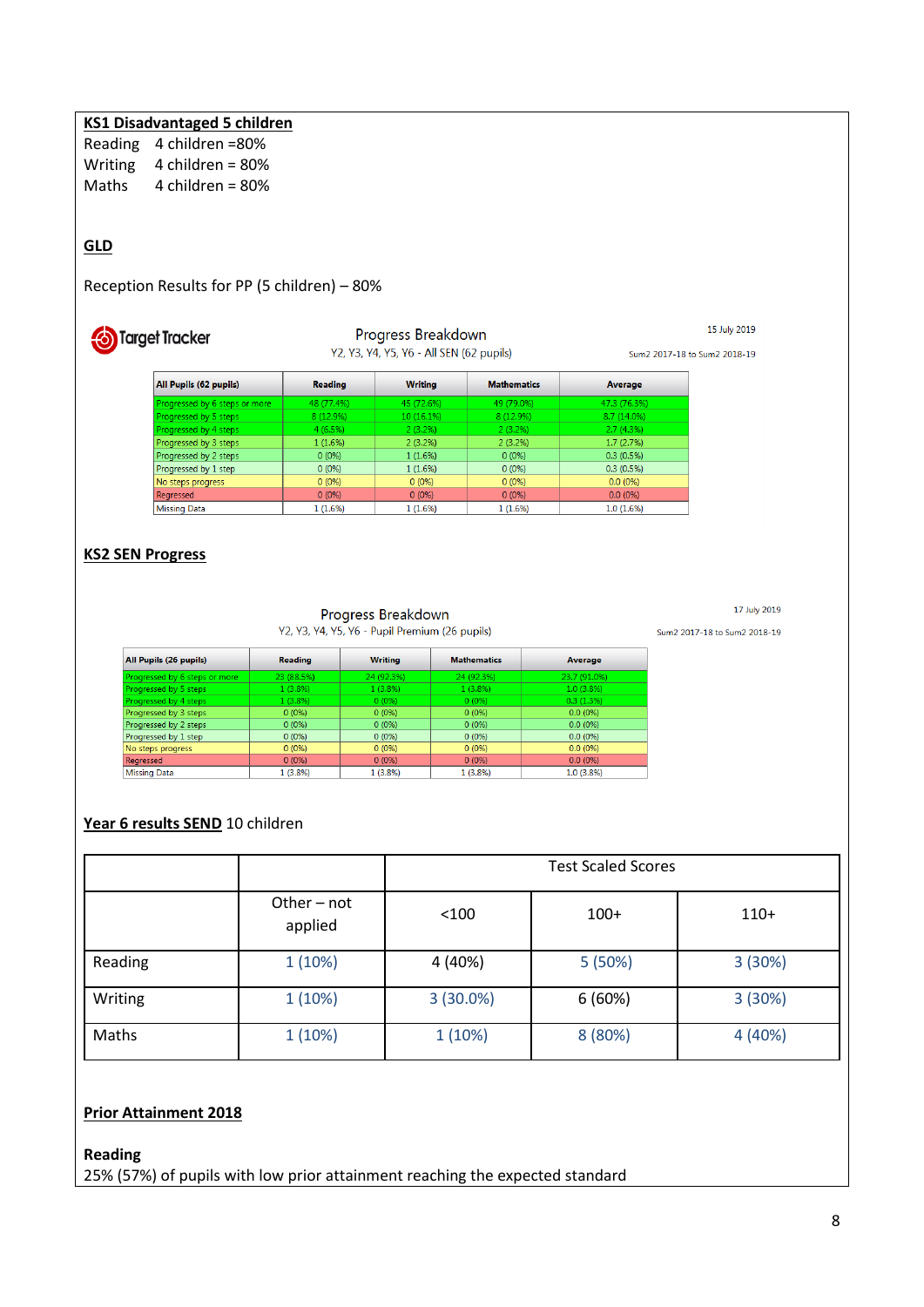## **KS1 Disadvantaged 5 children**

Reading 4 children =80%

Writing 4 children = 80%<br>Maths 4 children = 80%  $4$  children = 80%

# **GLD**

Reception Results for PP (5 children) – 80%

| Target Tracker                |                | Progress Breakdown<br>Y2, Y3, Y4, Y5, Y6 - All SEN (62 pupils) | 15 July 2019<br>Sum2 2017-18 to Sum2 2018-19 |              |  |
|-------------------------------|----------------|----------------------------------------------------------------|----------------------------------------------|--------------|--|
| All Pupils (62 pupils)        | <b>Reading</b> | <b>Writing</b>                                                 | <b>Mathematics</b>                           | Average      |  |
| Progressed by 6 steps or more | 48 (77.4%)     | 45 (72.6%)                                                     | 49 (79.0%)                                   | 47.3 (76.3%) |  |
| Progressed by 5 steps         | 8(12.9%)       | 10 (16.1%)                                                     | 8 (12.9%)                                    | 8.7 (14.0%)  |  |
| Progressed by 4 steps         | 4(6.5%)        | $2(3.2\%)$                                                     | 2(3.2%)                                      | 2.7(4.3%)    |  |
| Progressed by 3 steps         | 1(1.6%)        | $2(3.2\%)$                                                     | 2(3.2%)                                      | 1.7(2.7%)    |  |
| Progressed by 2 steps         | $0(0\%)$       | 1(1.6%)                                                        | $0(0\%)$                                     | 0.3(0.5%)    |  |
| Progressed by 1 step          | $0(0\%)$       | 1(1.6%)                                                        | $0(0\%)$                                     | 0.3(0.5%)    |  |
| No steps progress             | $0(0\%)$       | $0(0\%)$                                                       | $0(0\%)$                                     | $0.0(0\%)$   |  |
| Regressed                     | $0(0\%)$       | $0(0\%)$                                                       | $0(0\%)$                                     | $0.0(0\%)$   |  |
| <b>Missing Data</b>           | 1(1.6%)        | 1(1.6%)                                                        | 1(1.6%)                                      | 1.0(1.6%)    |  |

## **KS2 SEN Progress**

| Progress Breakdown                             |  |  |  |  |  |  |  |
|------------------------------------------------|--|--|--|--|--|--|--|
| Y2, Y3, Y4, Y5, Y6 - Pupil Premium (26 pupils) |  |  |  |  |  |  |  |

17 July 2019

Sum2 2017-18 to Sum2 2018-19

| All Pupils (26 pupils)        | <b>Reading</b> | <b>Writing</b> | <b>Mathematics</b> | Average      |
|-------------------------------|----------------|----------------|--------------------|--------------|
| Progressed by 6 steps or more | 23 (88.5%)     | 24 (92.3%)     | 24 (92.3%)         | 23.7 (91.0%) |
| Progressed by 5 steps         | $1(3.8\%)$     | 1(3.8%)        | 1(3.8%)            | $1.0(3.8\%)$ |
| Progressed by 4 steps         | 1(3.8%)        | $0(0\%)$       | $0(0\%)$           | 0.3(1.3%)    |
| Progressed by 3 steps         | 0(0%           | $0(0\%)$       | $0(0\%)$           | 0.0(0%       |
| Progressed by 2 steps         | $0(0\%)$       | $0(0\%)$       | $0(0\%)$           | $0.0(0\%)$   |
| Progressed by 1 step          | $0(0\%)$       | $0(0\%)$       | $0(0\%)$           | $0.0(0\%)$   |
| No steps progress             | $0(0\%)$       | $0(0\%)$       | $0(0\%)$           | $0.0(0\%)$   |
| Regressed                     | $0(0\%)$       | $0(0\%)$       | $0(0\%)$           | $0.0(0\%)$   |
| <b>Missing Data</b>           | 1 (3.8%)       | 1(3.8%)        | 1(3.8%)            | 1.0(3.8%)    |

## **Year 6 results SEND** 10 children

|         |                        | <b>Test Scaled Scores</b> |         |         |  |  |  |  |  |  |  |  |
|---------|------------------------|---------------------------|---------|---------|--|--|--|--|--|--|--|--|
|         | Other - not<br>applied | < 100                     | $100+$  | $110+$  |  |  |  |  |  |  |  |  |
| Reading | 1(10%)                 | 4 (40%)                   | 5(50%)  | 3(30%)  |  |  |  |  |  |  |  |  |
| Writing | 1(10%)                 | $3(30.0\%)$               | 6(60%)  | 3(30%)  |  |  |  |  |  |  |  |  |
| Maths   | 1(10%)                 | 1(10%)                    | 8 (80%) | 4 (40%) |  |  |  |  |  |  |  |  |

## **Prior Attainment 2018**

**Reading**

25% (57%) of pupils with low prior attainment reaching the expected standard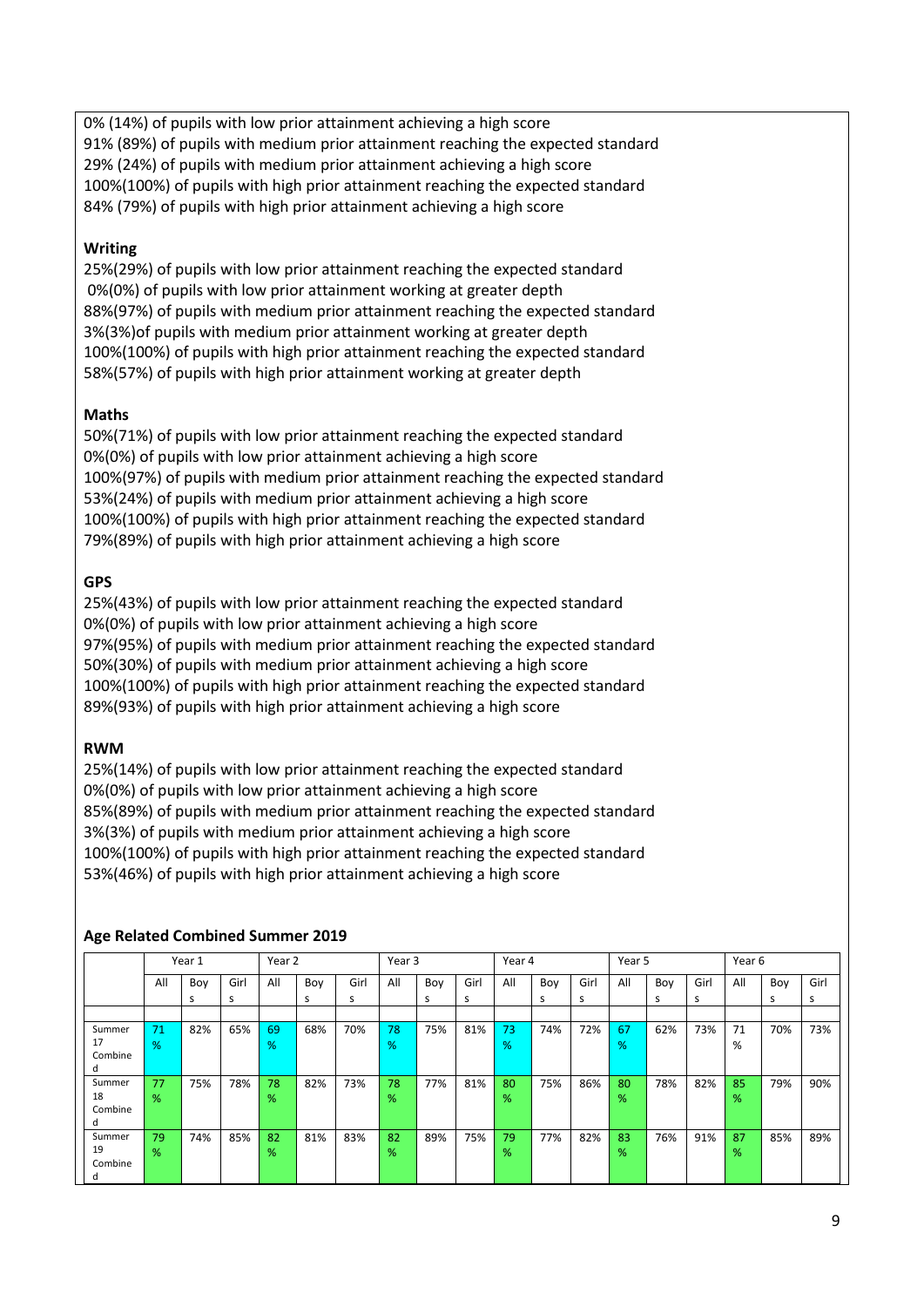0% (14%) of pupils with low prior attainment achieving a high score 91% (89%) of pupils with medium prior attainment reaching the expected standard 29% (24%) of pupils with medium prior attainment achieving a high score 100%(100%) of pupils with high prior attainment reaching the expected standard 84% (79%) of pupils with high prior attainment achieving a high score

## **Writing**

25%(29%) of pupils with low prior attainment reaching the expected standard 0%(0%) of pupils with low prior attainment working at greater depth 88%(97%) of pupils with medium prior attainment reaching the expected standard 3%(3%)of pupils with medium prior attainment working at greater depth 100%(100%) of pupils with high prior attainment reaching the expected standard 58%(57%) of pupils with high prior attainment working at greater depth

#### **Maths**

50%(71%) of pupils with low prior attainment reaching the expected standard 0%(0%) of pupils with low prior attainment achieving a high score 100%(97%) of pupils with medium prior attainment reaching the expected standard 53%(24%) of pupils with medium prior attainment achieving a high score 100%(100%) of pupils with high prior attainment reaching the expected standard 79%(89%) of pupils with high prior attainment achieving a high score

### **GPS**

25%(43%) of pupils with low prior attainment reaching the expected standard 0%(0%) of pupils with low prior attainment achieving a high score 97%(95%) of pupils with medium prior attainment reaching the expected standard 50%(30%) of pupils with medium prior attainment achieving a high score 100%(100%) of pupils with high prior attainment reaching the expected standard 89%(93%) of pupils with high prior attainment achieving a high score

#### **RWM**

25%(14%) of pupils with low prior attainment reaching the expected standard 0%(0%) of pupils with low prior attainment achieving a high score 85%(89%) of pupils with medium prior attainment reaching the expected standard 3%(3%) of pupils with medium prior attainment achieving a high score 100%(100%) of pupils with high prior attainment reaching the expected standard 53%(46%) of pupils with high prior attainment achieving a high score

|                              | Year 1              |     |      | Year 3<br>Year 2 |     |      | Year 4  |     |      | Year 5  |     |      | Year 6  |     |      |         |     |      |
|------------------------------|---------------------|-----|------|------------------|-----|------|---------|-----|------|---------|-----|------|---------|-----|------|---------|-----|------|
|                              | All                 | Boy | Girl | All              | Boy | Girl | All     | Boy | Girl | All     | Boy | Girl | All     | Boy | Girl | All     | Boy | Girl |
|                              |                     | s   | S    |                  | s   | s    |         | s   | s    |         | S   | s    |         | s   | s    |         | s   | s    |
|                              |                     |     |      |                  |     |      |         |     |      |         |     |      |         |     |      |         |     |      |
| Summer<br>17<br>Combine<br>d | 71<br>$\frac{9}{6}$ | 82% | 65%  | 69<br>%          | 68% | 70%  | 78<br>% | 75% | 81%  | 73<br>% | 74% | 72%  | 67<br>% | 62% | 73%  | 71<br>% | 70% | 73%  |
| Summer<br>18<br>Combine<br>d | 77<br>%             | 75% | 78%  | 78<br>%          | 82% | 73%  | 78<br>% | 77% | 81%  | 80<br>% | 75% | 86%  | 80<br>% | 78% | 82%  | 85<br>% | 79% | 90%  |
| Summer<br>19<br>Combine<br>d | 79<br>$\frac{9}{6}$ | 74% | 85%  | 82<br>%          | 81% | 83%  | 82<br>% | 89% | 75%  | 79<br>% | 77% | 82%  | 83<br>% | 76% | 91%  | 87<br>% | 85% | 89%  |

## **Age Related Combined Summer 2019**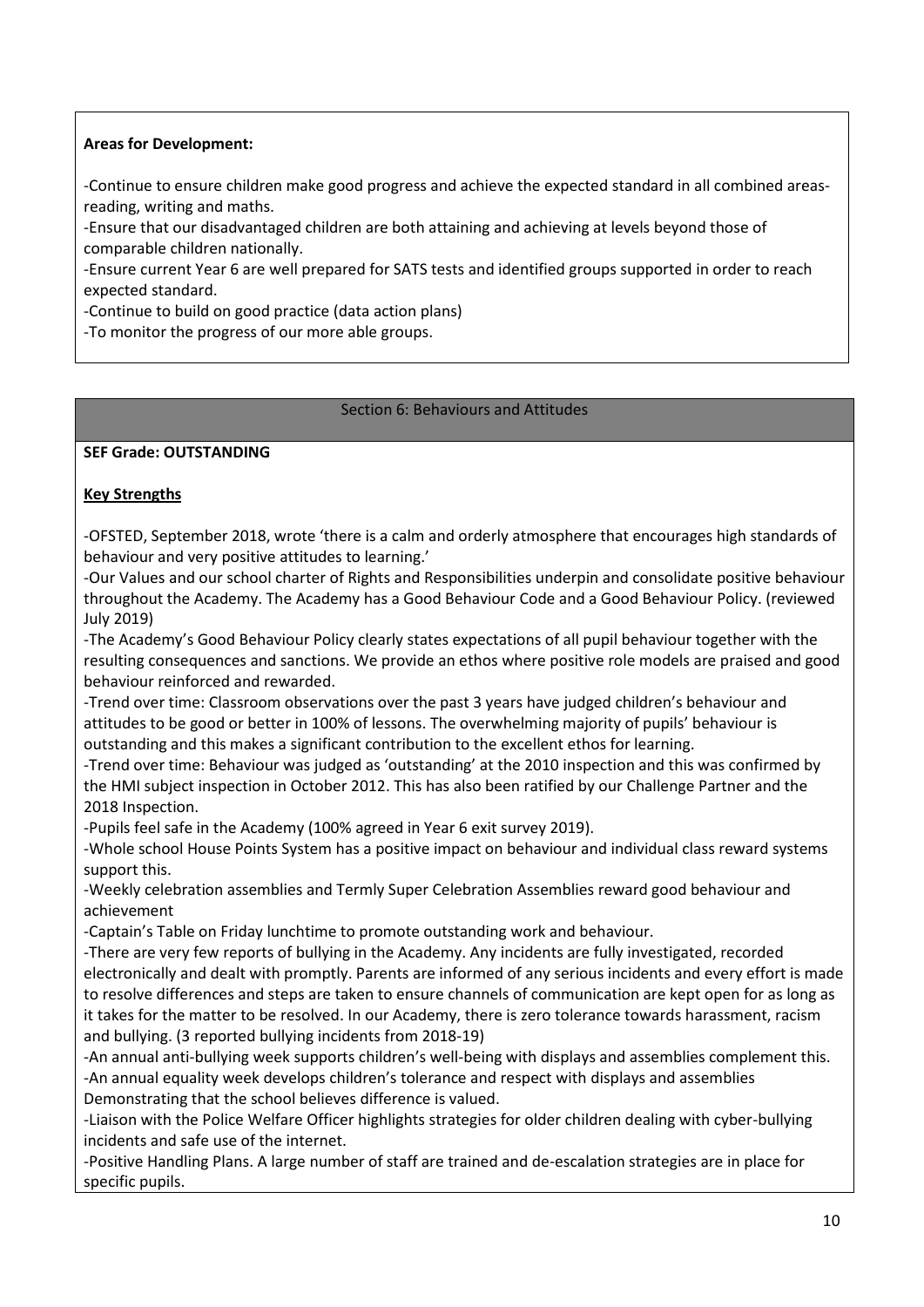## **Areas for Development:**

-Continue to ensure children make good progress and achieve the expected standard in all combined areasreading, writing and maths.

-Ensure that our disadvantaged children are both attaining and achieving at levels beyond those of comparable children nationally.

-Ensure current Year 6 are well prepared for SATS tests and identified groups supported in order to reach expected standard.

-Continue to build on good practice (data action plans)

-To monitor the progress of our more able groups.

## Section 6: Behaviours and Attitudes

### **SEF Grade: OUTSTANDING**

## **Key Strengths**

-OFSTED, September 2018, wrote 'there is a calm and orderly atmosphere that encourages high standards of behaviour and very positive attitudes to learning.'

-Our Values and our school charter of Rights and Responsibilities underpin and consolidate positive behaviour throughout the Academy. The Academy has a Good Behaviour Code and a Good Behaviour Policy. (reviewed July 2019)

-The Academy's Good Behaviour Policy clearly states expectations of all pupil behaviour together with the resulting consequences and sanctions. We provide an ethos where positive role models are praised and good behaviour reinforced and rewarded.

-Trend over time: Classroom observations over the past 3 years have judged children's behaviour and attitudes to be good or better in 100% of lessons. The overwhelming majority of pupils' behaviour is outstanding and this makes a significant contribution to the excellent ethos for learning.

-Trend over time: Behaviour was judged as 'outstanding' at the 2010 inspection and this was confirmed by the HMI subject inspection in October 2012. This has also been ratified by our Challenge Partner and the 2018 Inspection.

-Pupils feel safe in the Academy (100% agreed in Year 6 exit survey 2019).

-Whole school House Points System has a positive impact on behaviour and individual class reward systems support this.

-Weekly celebration assemblies and Termly Super Celebration Assemblies reward good behaviour and achievement

-Captain's Table on Friday lunchtime to promote outstanding work and behaviour.

-There are very few reports of bullying in the Academy. Any incidents are fully investigated, recorded electronically and dealt with promptly. Parents are informed of any serious incidents and every effort is made to resolve differences and steps are taken to ensure channels of communication are kept open for as long as it takes for the matter to be resolved. In our Academy, there is zero tolerance towards harassment, racism and bullying. (3 reported bullying incidents from 2018-19)

-An annual anti-bullying week supports children's well-being with displays and assemblies complement this. -An annual equality week develops children's tolerance and respect with displays and assemblies Demonstrating that the school believes difference is valued.

-Liaison with the Police Welfare Officer highlights strategies for older children dealing with cyber-bullying incidents and safe use of the internet.

-Positive Handling Plans. A large number of staff are trained and de-escalation strategies are in place for specific pupils.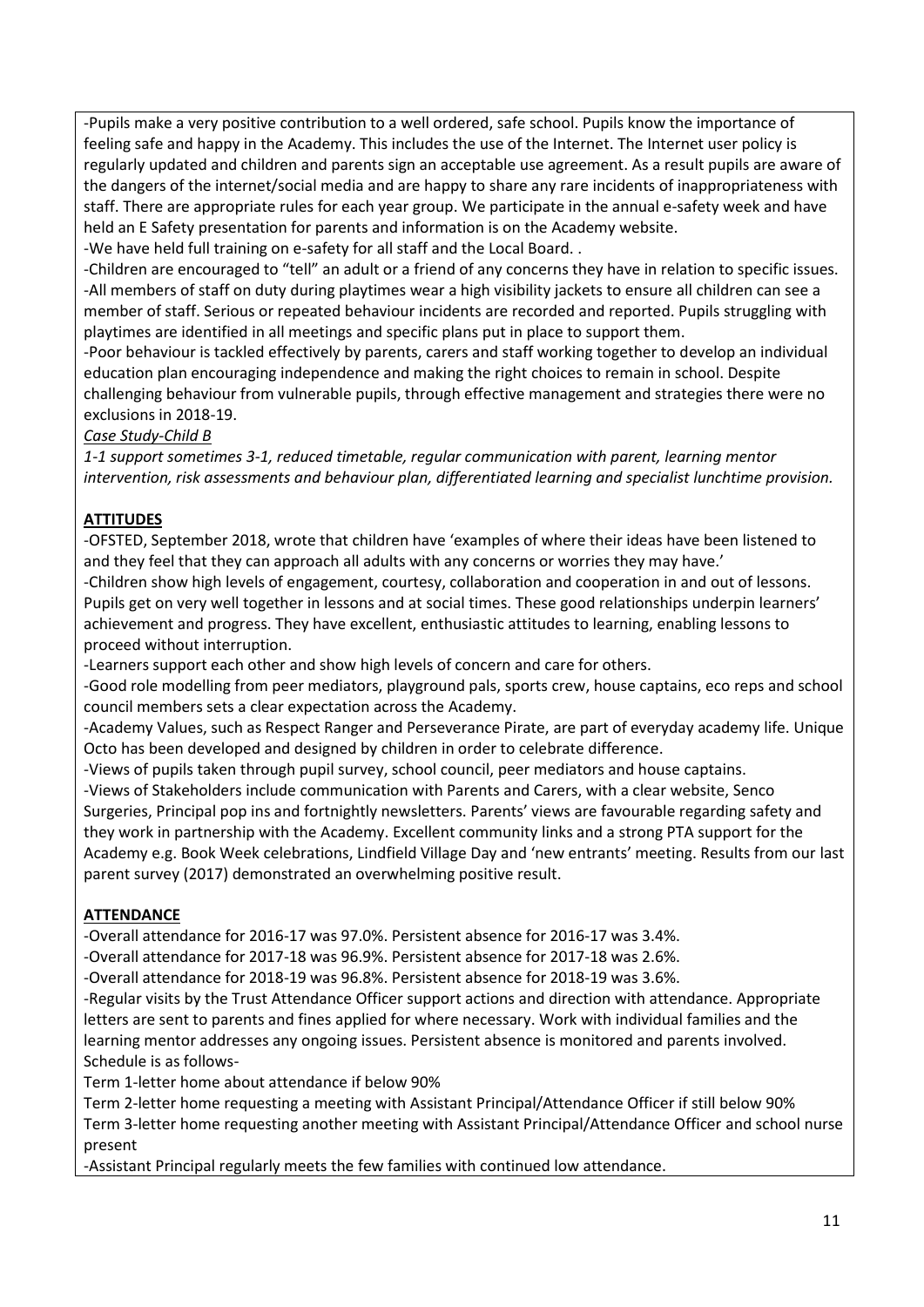-Pupils make a very positive contribution to a well ordered, safe school. Pupils know the importance of feeling safe and happy in the Academy. This includes the use of the Internet. The Internet user policy is regularly updated and children and parents sign an acceptable use agreement. As a result pupils are aware of the dangers of the internet/social media and are happy to share any rare incidents of inappropriateness with staff. There are appropriate rules for each year group. We participate in the annual e-safety week and have held an E Safety presentation for parents and information is on the Academy website.

-We have held full training on e-safety for all staff and the Local Board. .

-Children are encouraged to "tell" an adult or a friend of any concerns they have in relation to specific issues. -All members of staff on duty during playtimes wear a high visibility jackets to ensure all children can see a member of staff. Serious or repeated behaviour incidents are recorded and reported. Pupils struggling with playtimes are identified in all meetings and specific plans put in place to support them.

-Poor behaviour is tackled effectively by parents, carers and staff working together to develop an individual education plan encouraging independence and making the right choices to remain in school. Despite challenging behaviour from vulnerable pupils, through effective management and strategies there were no exclusions in 2018-19.

## *Case Study-Child B*

*1-1 support sometimes 3-1, reduced timetable, regular communication with parent, learning mentor intervention, risk assessments and behaviour plan, differentiated learning and specialist lunchtime provision.*

## **ATTITUDES**

-OFSTED, September 2018, wrote that children have 'examples of where their ideas have been listened to and they feel that they can approach all adults with any concerns or worries they may have.'

-Children show high levels of engagement, courtesy, collaboration and cooperation in and out of lessons. Pupils get on very well together in lessons and at social times. These good relationships underpin learners' achievement and progress. They have excellent, enthusiastic attitudes to learning, enabling lessons to proceed without interruption.

-Learners support each other and show high levels of concern and care for others.

-Good role modelling from peer mediators, playground pals, sports crew, house captains, eco reps and school council members sets a clear expectation across the Academy.

-Academy Values, such as Respect Ranger and Perseverance Pirate, are part of everyday academy life. Unique Octo has been developed and designed by children in order to celebrate difference.

-Views of pupils taken through pupil survey, school council, peer mediators and house captains.

-Views of Stakeholders include communication with Parents and Carers, with a clear website, Senco Surgeries, Principal pop ins and fortnightly newsletters. Parents' views are favourable regarding safety and they work in partnership with the Academy. Excellent community links and a strong PTA support for the Academy e.g. Book Week celebrations, Lindfield Village Day and 'new entrants' meeting. Results from our last parent survey (2017) demonstrated an overwhelming positive result.

## **ATTENDANCE**

-Overall attendance for 2016-17 was 97.0%. Persistent absence for 2016-17 was 3.4%.

-Overall attendance for 2017-18 was 96.9%. Persistent absence for 2017-18 was 2.6%.

-Overall attendance for 2018-19 was 96.8%. Persistent absence for 2018-19 was 3.6%.

-Regular visits by the Trust Attendance Officer support actions and direction with attendance. Appropriate letters are sent to parents and fines applied for where necessary. Work with individual families and the learning mentor addresses any ongoing issues. Persistent absence is monitored and parents involved. Schedule is as follows-

Term 1-letter home about attendance if below 90%

Term 2-letter home requesting a meeting with Assistant Principal/Attendance Officer if still below 90% Term 3-letter home requesting another meeting with Assistant Principal/Attendance Officer and school nurse present

-Assistant Principal regularly meets the few families with continued low attendance.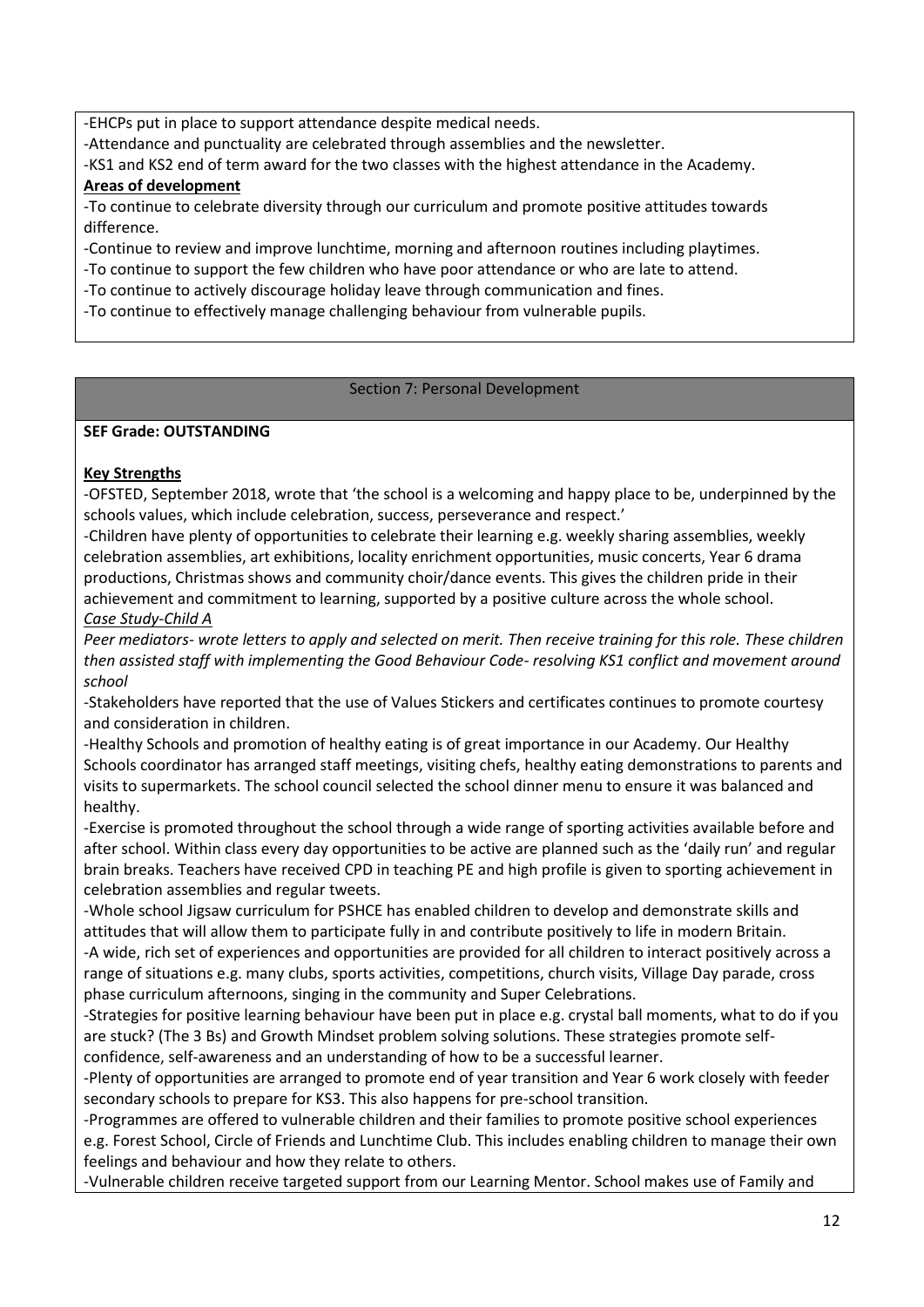-EHCPs put in place to support attendance despite medical needs.

-Attendance and punctuality are celebrated through assemblies and the newsletter.

-KS1 and KS2 end of term award for the two classes with the highest attendance in the Academy.

## **Areas of development**

-To continue to celebrate diversity through our curriculum and promote positive attitudes towards difference.

-Continue to review and improve lunchtime, morning and afternoon routines including playtimes.

-To continue to support the few children who have poor attendance or who are late to attend.

-To continue to actively discourage holiday leave through communication and fines.

-To continue to effectively manage challenging behaviour from vulnerable pupils.

### Section 7: Personal Development

### **SEF Grade: OUTSTANDING**

## **Key Strengths**

-OFSTED, September 2018, wrote that 'the school is a welcoming and happy place to be, underpinned by the schools values, which include celebration, success, perseverance and respect.'

-Children have plenty of opportunities to celebrate their learning e.g. weekly sharing assemblies, weekly celebration assemblies, art exhibitions, locality enrichment opportunities, music concerts, Year 6 drama productions, Christmas shows and community choir/dance events. This gives the children pride in their achievement and commitment to learning, supported by a positive culture across the whole school. *Case Study-Child A*

*Peer mediators- wrote letters to apply and selected on merit. Then receive training for this role. These children then assisted staff with implementing the Good Behaviour Code- resolving KS1 conflict and movement around school*

-Stakeholders have reported that the use of Values Stickers and certificates continues to promote courtesy and consideration in children.

-Healthy Schools and promotion of healthy eating is of great importance in our Academy. Our Healthy Schools coordinator has arranged staff meetings, visiting chefs, healthy eating demonstrations to parents and visits to supermarkets. The school council selected the school dinner menu to ensure it was balanced and healthy.

-Exercise is promoted throughout the school through a wide range of sporting activities available before and after school. Within class every day opportunities to be active are planned such as the 'daily run' and regular brain breaks. Teachers have received CPD in teaching PE and high profile is given to sporting achievement in celebration assemblies and regular tweets.

-Whole school Jigsaw curriculum for PSHCE has enabled children to develop and demonstrate skills and attitudes that will allow them to participate fully in and contribute positively to life in modern Britain. -A wide, rich set of experiences and opportunities are provided for all children to interact positively across a

range of situations e.g. many clubs, sports activities, competitions, church visits, Village Day parade, cross phase curriculum afternoons, singing in the community and Super Celebrations.

-Strategies for positive learning behaviour have been put in place e.g. crystal ball moments, what to do if you are stuck? (The 3 Bs) and Growth Mindset problem solving solutions. These strategies promote selfconfidence, self-awareness and an understanding of how to be a successful learner.

-Plenty of opportunities are arranged to promote end of year transition and Year 6 work closely with feeder secondary schools to prepare for KS3. This also happens for pre-school transition.

-Programmes are offered to vulnerable children and their families to promote positive school experiences e.g. Forest School, Circle of Friends and Lunchtime Club. This includes enabling children to manage their own feelings and behaviour and how they relate to others.

-Vulnerable children receive targeted support from our Learning Mentor. School makes use of Family and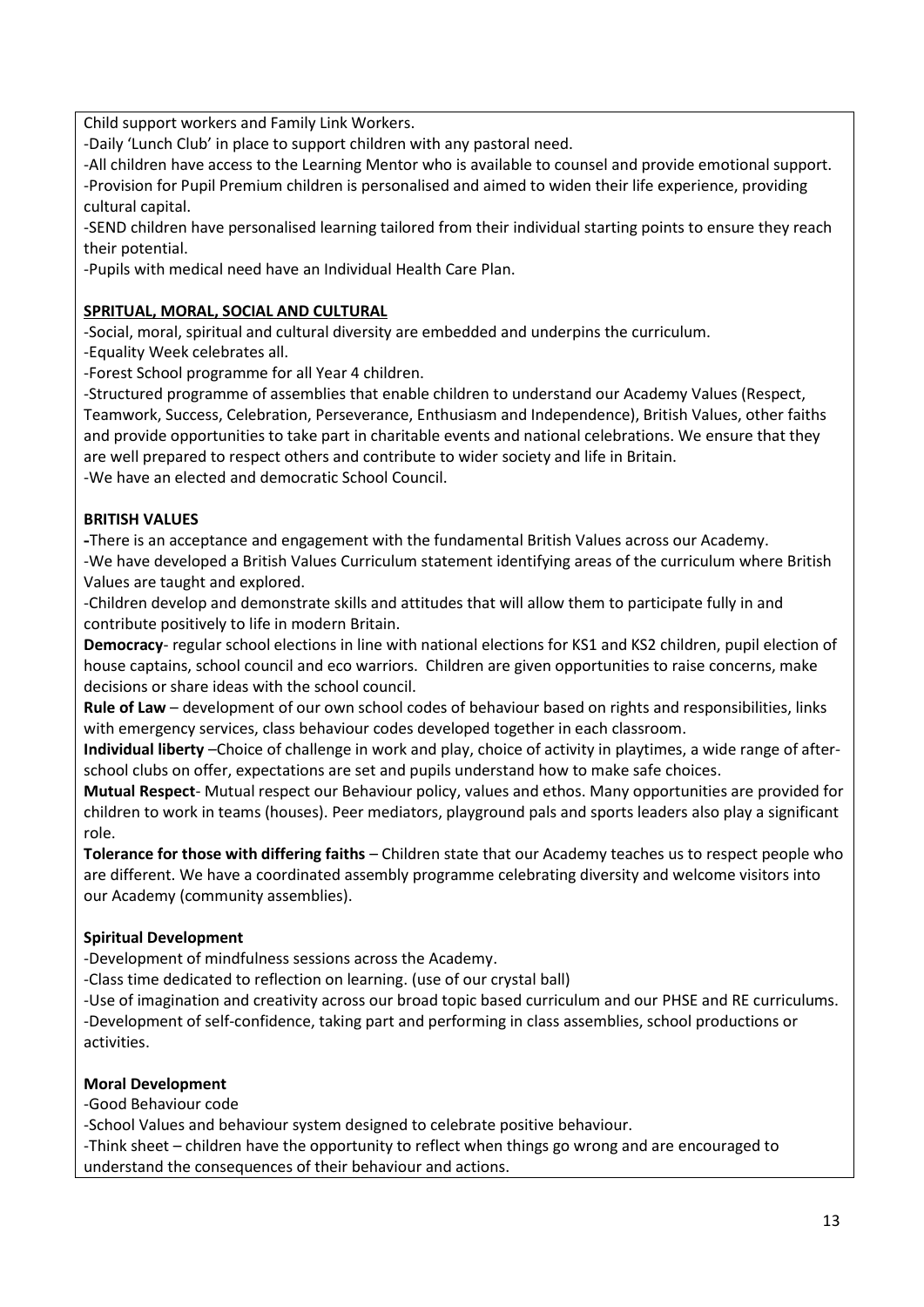Child support workers and Family Link Workers.

-Daily 'Lunch Club' in place to support children with any pastoral need.

-All children have access to the Learning Mentor who is available to counsel and provide emotional support. -Provision for Pupil Premium children is personalised and aimed to widen their life experience, providing cultural capital.

-SEND children have personalised learning tailored from their individual starting points to ensure they reach their potential.

-Pupils with medical need have an Individual Health Care Plan.

## **SPRITUAL, MORAL, SOCIAL AND CULTURAL**

-Social, moral, spiritual and cultural diversity are embedded and underpins the curriculum.

-Equality Week celebrates all.

-Forest School programme for all Year 4 children.

-Structured programme of assemblies that enable children to understand our Academy Values (Respect, Teamwork, Success, Celebration, Perseverance, Enthusiasm and Independence), British Values, other faiths and provide opportunities to take part in charitable events and national celebrations. We ensure that they are well prepared to respect others and contribute to wider society and life in Britain. -We have an elected and democratic School Council.

## **BRITISH VALUES**

**-**There is an acceptance and engagement with the fundamental British Values across our Academy.

-We have developed a British Values Curriculum statement identifying areas of the curriculum where British Values are taught and explored.

-Children develop and demonstrate skills and attitudes that will allow them to participate fully in and contribute positively to life in modern Britain.

**Democracy**- regular school elections in line with national elections for KS1 and KS2 children, pupil election of house captains, school council and eco warriors. Children are given opportunities to raise concerns, make decisions or share ideas with the school council.

**Rule of Law** – development of our own school codes of behaviour based on rights and responsibilities, links with emergency services, class behaviour codes developed together in each classroom.

**Individual liberty** –Choice of challenge in work and play, choice of activity in playtimes, a wide range of afterschool clubs on offer, expectations are set and pupils understand how to make safe choices.

**Mutual Respect**- Mutual respect our Behaviour policy, values and ethos. Many opportunities are provided for children to work in teams (houses). Peer mediators, playground pals and sports leaders also play a significant role.

**Tolerance for those with differing faiths** – Children state that our Academy teaches us to respect people who are different. We have a coordinated assembly programme celebrating diversity and welcome visitors into our Academy (community assemblies).

## **Spiritual Development**

-Development of mindfulness sessions across the Academy.

-Class time dedicated to reflection on learning. (use of our crystal ball)

-Use of imagination and creativity across our broad topic based curriculum and our PHSE and RE curriculums. -Development of self-confidence, taking part and performing in class assemblies, school productions or activities.

## **Moral Development**

-Good Behaviour code

-School Values and behaviour system designed to celebrate positive behaviour.

-Think sheet – children have the opportunity to reflect when things go wrong and are encouraged to understand the consequences of their behaviour and actions.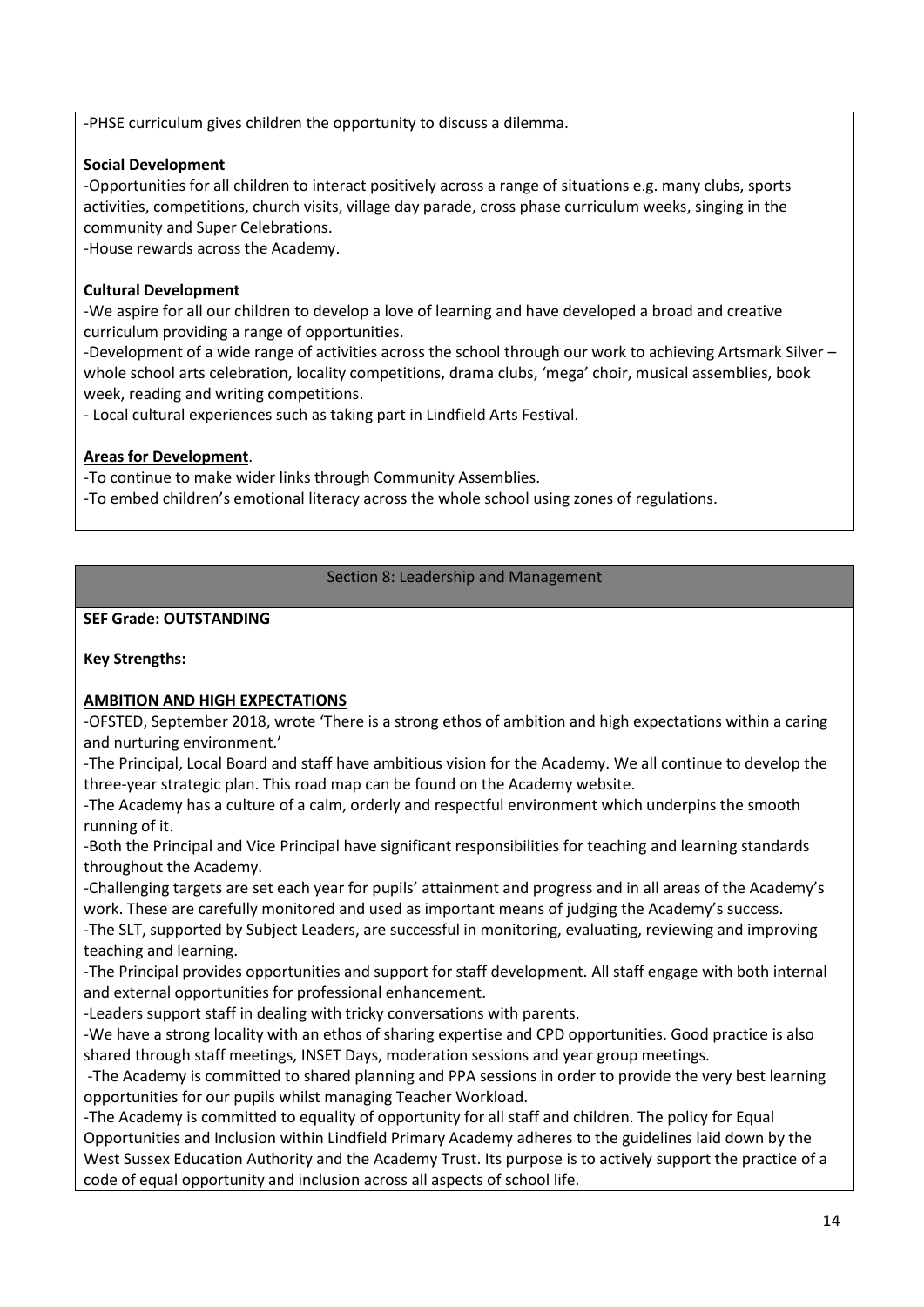-PHSE curriculum gives children the opportunity to discuss a dilemma.

## **Social Development**

-Opportunities for all children to interact positively across a range of situations e.g. many clubs, sports activities, competitions, church visits, village day parade, cross phase curriculum weeks, singing in the community and Super Celebrations.

-House rewards across the Academy.

## **Cultural Development**

-We aspire for all our children to develop a love of learning and have developed a broad and creative curriculum providing a range of opportunities.

-Development of a wide range of activities across the school through our work to achieving Artsmark Silver – whole school arts celebration, locality competitions, drama clubs, 'mega' choir, musical assemblies, book week, reading and writing competitions.

- Local cultural experiences such as taking part in Lindfield Arts Festival.

### **Areas for Development**.

-To continue to make wider links through Community Assemblies.

-To embed children's emotional literacy across the whole school using zones of regulations.

### Section 8: Leadership and Management

#### **SEF Grade: OUTSTANDING**

## **Key Strengths:**

## **AMBITION AND HIGH EXPECTATIONS**

-OFSTED, September 2018, wrote 'There is a strong ethos of ambition and high expectations within a caring and nurturing environment.'

-The Principal, Local Board and staff have ambitious vision for the Academy. We all continue to develop the three-year strategic plan. This road map can be found on the Academy website.

-The Academy has a culture of a calm, orderly and respectful environment which underpins the smooth running of it.

-Both the Principal and Vice Principal have significant responsibilities for teaching and learning standards throughout the Academy.

-Challenging targets are set each year for pupils' attainment and progress and in all areas of the Academy's work. These are carefully monitored and used as important means of judging the Academy's success.

-The SLT, supported by Subject Leaders, are successful in monitoring, evaluating, reviewing and improving teaching and learning.

-The Principal provides opportunities and support for staff development. All staff engage with both internal and external opportunities for professional enhancement.

-Leaders support staff in dealing with tricky conversations with parents.

-We have a strong locality with an ethos of sharing expertise and CPD opportunities. Good practice is also shared through staff meetings, INSET Days, moderation sessions and year group meetings.

-The Academy is committed to shared planning and PPA sessions in order to provide the very best learning opportunities for our pupils whilst managing Teacher Workload.

-The Academy is committed to equality of opportunity for all staff and children. The policy for Equal Opportunities and Inclusion within Lindfield Primary Academy adheres to the guidelines laid down by the West Sussex Education Authority and the Academy Trust. Its purpose is to actively support the practice of a code of equal opportunity and inclusion across all aspects of school life.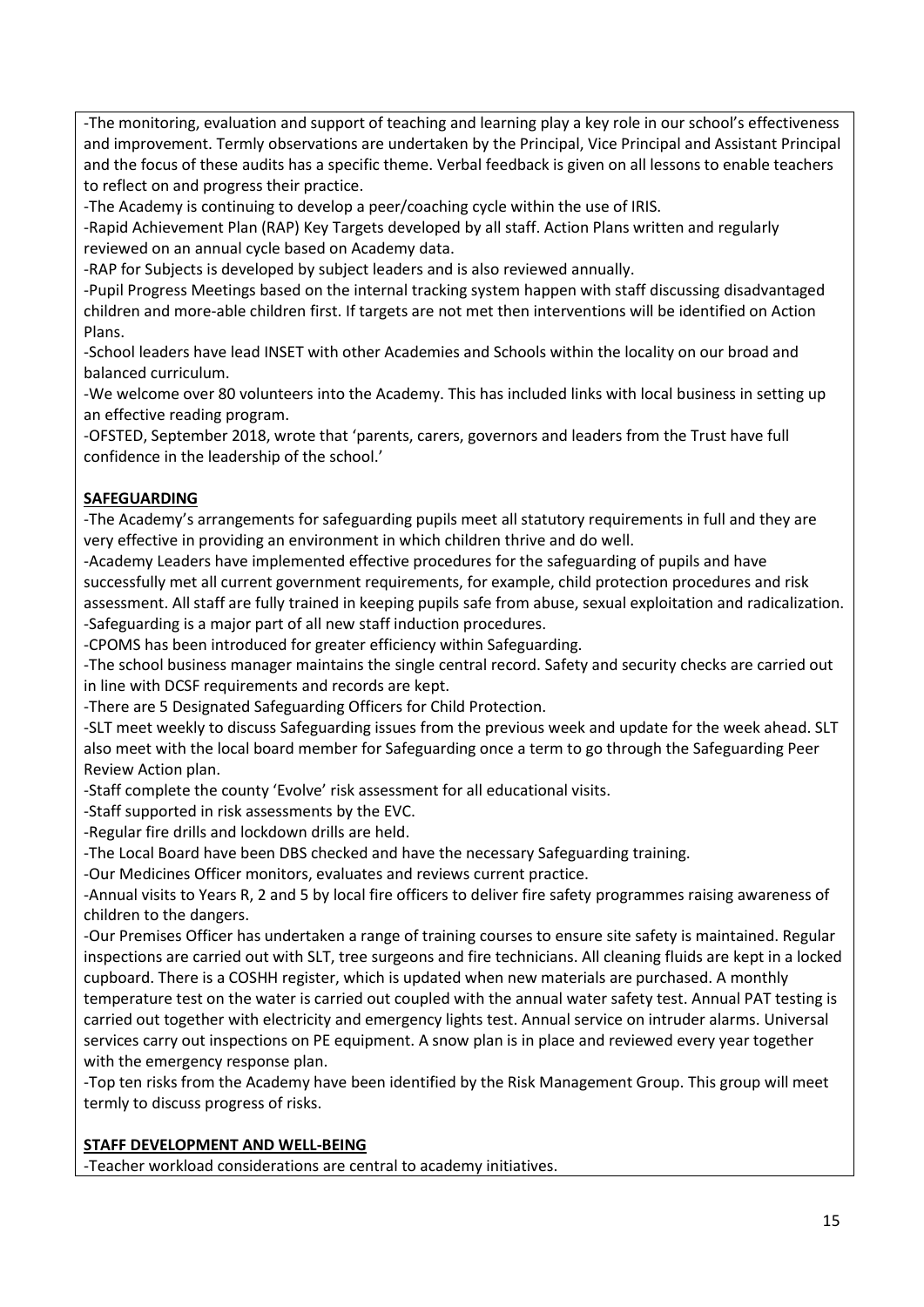-The monitoring, evaluation and support of teaching and learning play a key role in our school's effectiveness and improvement. Termly observations are undertaken by the Principal, Vice Principal and Assistant Principal and the focus of these audits has a specific theme. Verbal feedback is given on all lessons to enable teachers to reflect on and progress their practice.

-The Academy is continuing to develop a peer/coaching cycle within the use of IRIS.

-Rapid Achievement Plan (RAP) Key Targets developed by all staff. Action Plans written and regularly reviewed on an annual cycle based on Academy data.

-RAP for Subjects is developed by subject leaders and is also reviewed annually.

-Pupil Progress Meetings based on the internal tracking system happen with staff discussing disadvantaged children and more-able children first. If targets are not met then interventions will be identified on Action Plans.

-School leaders have lead INSET with other Academies and Schools within the locality on our broad and balanced curriculum.

-We welcome over 80 volunteers into the Academy. This has included links with local business in setting up an effective reading program.

-OFSTED, September 2018, wrote that 'parents, carers, governors and leaders from the Trust have full confidence in the leadership of the school.'

## **SAFEGUARDING**

-The Academy's arrangements for safeguarding pupils meet all statutory requirements in full and they are very effective in providing an environment in which children thrive and do well.

-Academy Leaders have implemented effective procedures for the safeguarding of pupils and have successfully met all current government requirements, for example, child protection procedures and risk assessment. All staff are fully trained in keeping pupils safe from abuse, sexual exploitation and radicalization. -Safeguarding is a major part of all new staff induction procedures.

-CPOMS has been introduced for greater efficiency within Safeguarding.

-The school business manager maintains the single central record. Safety and security checks are carried out in line with DCSF requirements and records are kept.

-There are 5 Designated Safeguarding Officers for Child Protection.

-SLT meet weekly to discuss Safeguarding issues from the previous week and update for the week ahead. SLT also meet with the local board member for Safeguarding once a term to go through the Safeguarding Peer Review Action plan.

-Staff complete the county 'Evolve' risk assessment for all educational visits.

-Staff supported in risk assessments by the EVC.

-Regular fire drills and lockdown drills are held.

-The Local Board have been DBS checked and have the necessary Safeguarding training.

-Our Medicines Officer monitors, evaluates and reviews current practice.

-Annual visits to Years R, 2 and 5 by local fire officers to deliver fire safety programmes raising awareness of children to the dangers.

-Our Premises Officer has undertaken a range of training courses to ensure site safety is maintained. Regular inspections are carried out with SLT, tree surgeons and fire technicians. All cleaning fluids are kept in a locked cupboard. There is a COSHH register, which is updated when new materials are purchased. A monthly temperature test on the water is carried out coupled with the annual water safety test. Annual PAT testing is carried out together with electricity and emergency lights test. Annual service on intruder alarms. Universal services carry out inspections on PE equipment. A snow plan is in place and reviewed every year together with the emergency response plan.

-Top ten risks from the Academy have been identified by the Risk Management Group. This group will meet termly to discuss progress of risks.

## **STAFF DEVELOPMENT AND WELL-BEING**

-Teacher workload considerations are central to academy initiatives.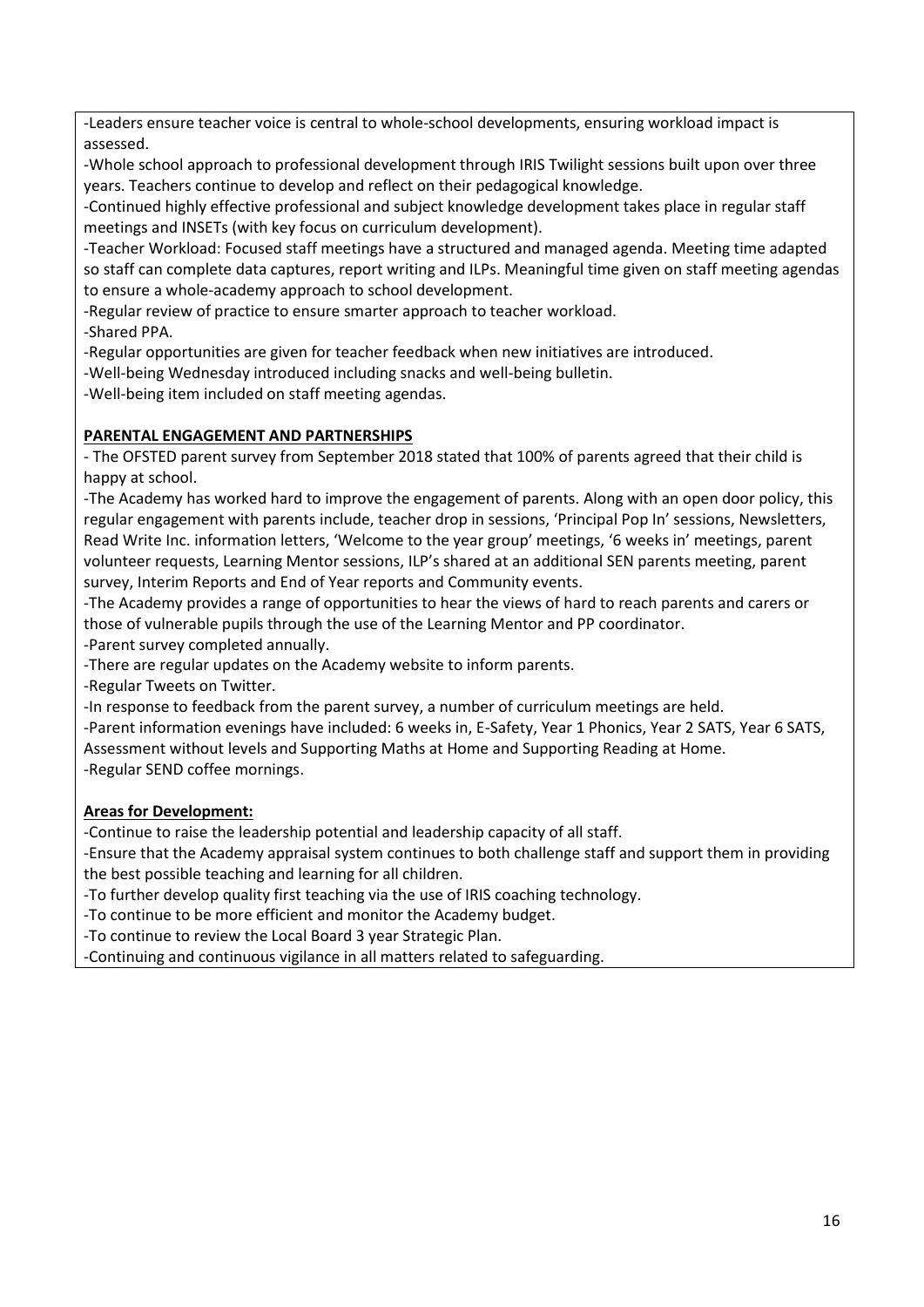-Leaders ensure teacher voice is central to whole-school developments, ensuring workload impact is assessed.

-Whole school approach to professional development through IRIS Twilight sessions built upon over three years. Teachers continue to develop and reflect on their pedagogical knowledge.

-Continued highly effective professional and subject knowledge development takes place in regular staff meetings and INSETs (with key focus on curriculum development).

-Teacher Workload: Focused staff meetings have a structured and managed agenda. Meeting time adapted so staff can complete data captures, report writing and ILPs. Meaningful time given on staff meeting agendas to ensure a whole-academy approach to school development.

-Regular review of practice to ensure smarter approach to teacher workload.

-Shared PPA.

-Regular opportunities are given for teacher feedback when new initiatives are introduced.

-Well-being Wednesday introduced including snacks and well-being bulletin.

-Well-being item included on staff meeting agendas.

### **PARENTAL ENGAGEMENT AND PARTNERSHIPS**

- The OFSTED parent survey from September 2018 stated that 100% of parents agreed that their child is happy at school.

-The Academy has worked hard to improve the engagement of parents. Along with an open door policy, this regular engagement with parents include, teacher drop in sessions, 'Principal Pop In' sessions, Newsletters, Read Write Inc. information letters, 'Welcome to the year group' meetings, '6 weeks in' meetings, parent volunteer requests, Learning Mentor sessions, ILP's shared at an additional SEN parents meeting, parent survey, Interim Reports and End of Year reports and Community events.

-The Academy provides a range of opportunities to hear the views of hard to reach parents and carers or those of vulnerable pupils through the use of the Learning Mentor and PP coordinator.

-Parent survey completed annually.

-There are regular updates on the Academy website to inform parents.

-Regular Tweets on Twitter.

-In response to feedback from the parent survey, a number of curriculum meetings are held.

-Parent information evenings have included: 6 weeks in, E-Safety, Year 1 Phonics, Year 2 SATS, Year 6 SATS, Assessment without levels and Supporting Maths at Home and Supporting Reading at Home.

-Regular SEND coffee mornings.

#### **Areas for Development:**

-Continue to raise the leadership potential and leadership capacity of all staff.

-Ensure that the Academy appraisal system continues to both challenge staff and support them in providing the best possible teaching and learning for all children.

-To further develop quality first teaching via the use of IRIS coaching technology.

-To continue to be more efficient and monitor the Academy budget.

-To continue to review the Local Board 3 year Strategic Plan.

-Continuing and continuous vigilance in all matters related to safeguarding.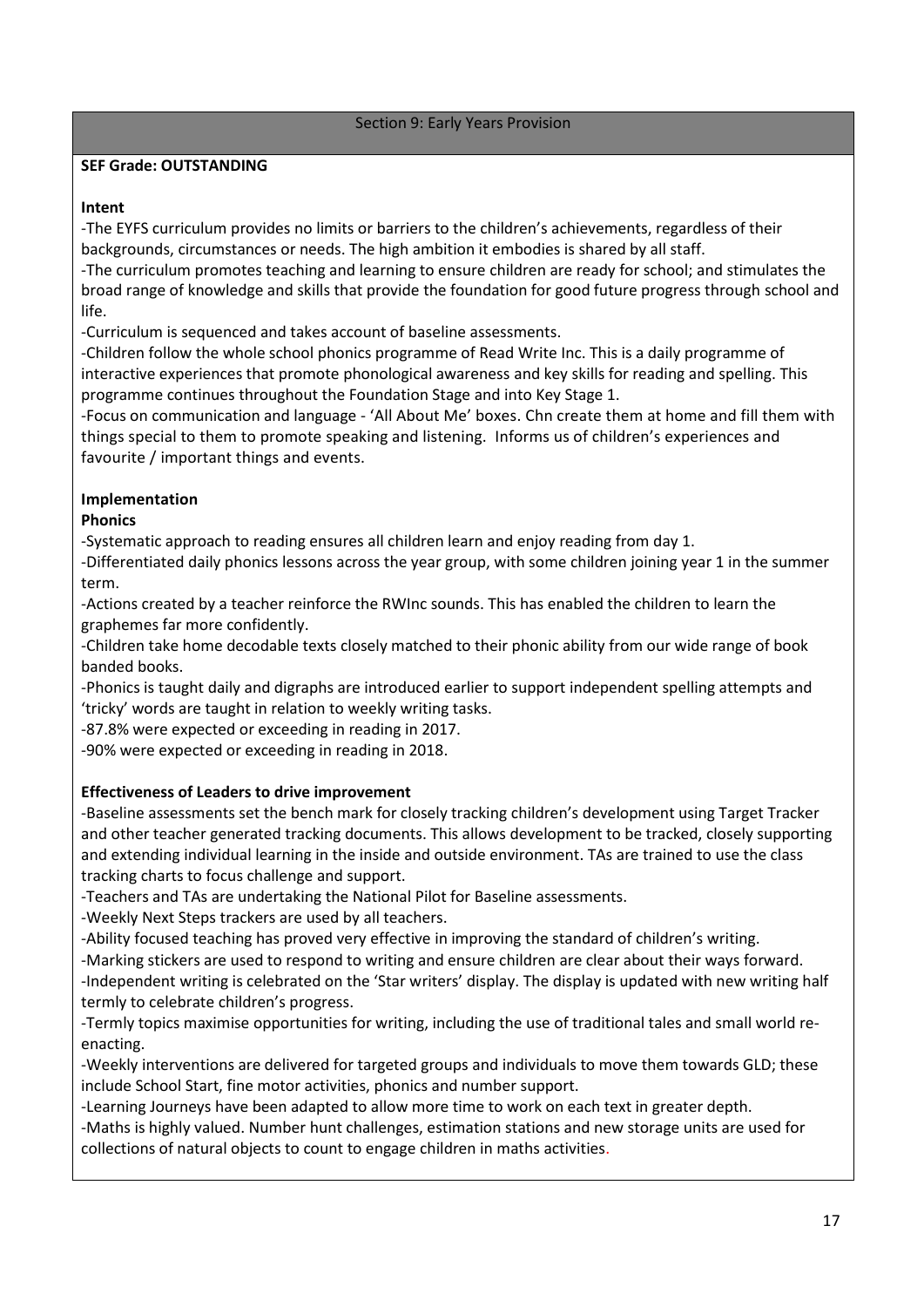## Section 9: Early Years Provision

## **SEF Grade: OUTSTANDING**

## **Intent**

-The EYFS curriculum provides no limits or barriers to the children's achievements, regardless of their backgrounds, circumstances or needs. The high ambition it embodies is shared by all staff.

-The curriculum promotes teaching and learning to ensure children are ready for school; and stimulates the broad range of knowledge and skills that provide the foundation for good future progress through school and life.

-Curriculum is sequenced and takes account of baseline assessments.

-Children follow the whole school phonics programme of Read Write Inc. This is a daily programme of interactive experiences that promote phonological awareness and key skills for reading and spelling. This programme continues throughout the Foundation Stage and into Key Stage 1.

-Focus on communication and language - 'All About Me' boxes. Chn create them at home and fill them with things special to them to promote speaking and listening. Informs us of children's experiences and favourite / important things and events.

# **Implementation**

## **Phonics**

-Systematic approach to reading ensures all children learn and enjoy reading from day 1.

-Differentiated daily phonics lessons across the year group, with some children joining year 1 in the summer term.

-Actions created by a teacher reinforce the RWInc sounds. This has enabled the children to learn the graphemes far more confidently.

-Children take home decodable texts closely matched to their phonic ability from our wide range of book banded books.

-Phonics is taught daily and digraphs are introduced earlier to support independent spelling attempts and 'tricky' words are taught in relation to weekly writing tasks.

-87.8% were expected or exceeding in reading in 2017.

-90% were expected or exceeding in reading in 2018.

## **Effectiveness of Leaders to drive improvement**

-Baseline assessments set the bench mark for closely tracking children's development using Target Tracker and other teacher generated tracking documents. This allows development to be tracked, closely supporting and extending individual learning in the inside and outside environment. TAs are trained to use the class tracking charts to focus challenge and support.

-Teachers and TAs are undertaking the National Pilot for Baseline assessments.

-Weekly Next Steps trackers are used by all teachers.

-Ability focused teaching has proved very effective in improving the standard of children's writing.

-Marking stickers are used to respond to writing and ensure children are clear about their ways forward. -Independent writing is celebrated on the 'Star writers' display. The display is updated with new writing half

termly to celebrate children's progress.

-Termly topics maximise opportunities for writing, including the use of traditional tales and small world reenacting.

-Weekly interventions are delivered for targeted groups and individuals to move them towards GLD; these include School Start, fine motor activities, phonics and number support.

-Learning Journeys have been adapted to allow more time to work on each text in greater depth.

-Maths is highly valued. Number hunt challenges, estimation stations and new storage units are used for collections of natural objects to count to engage children in maths activities.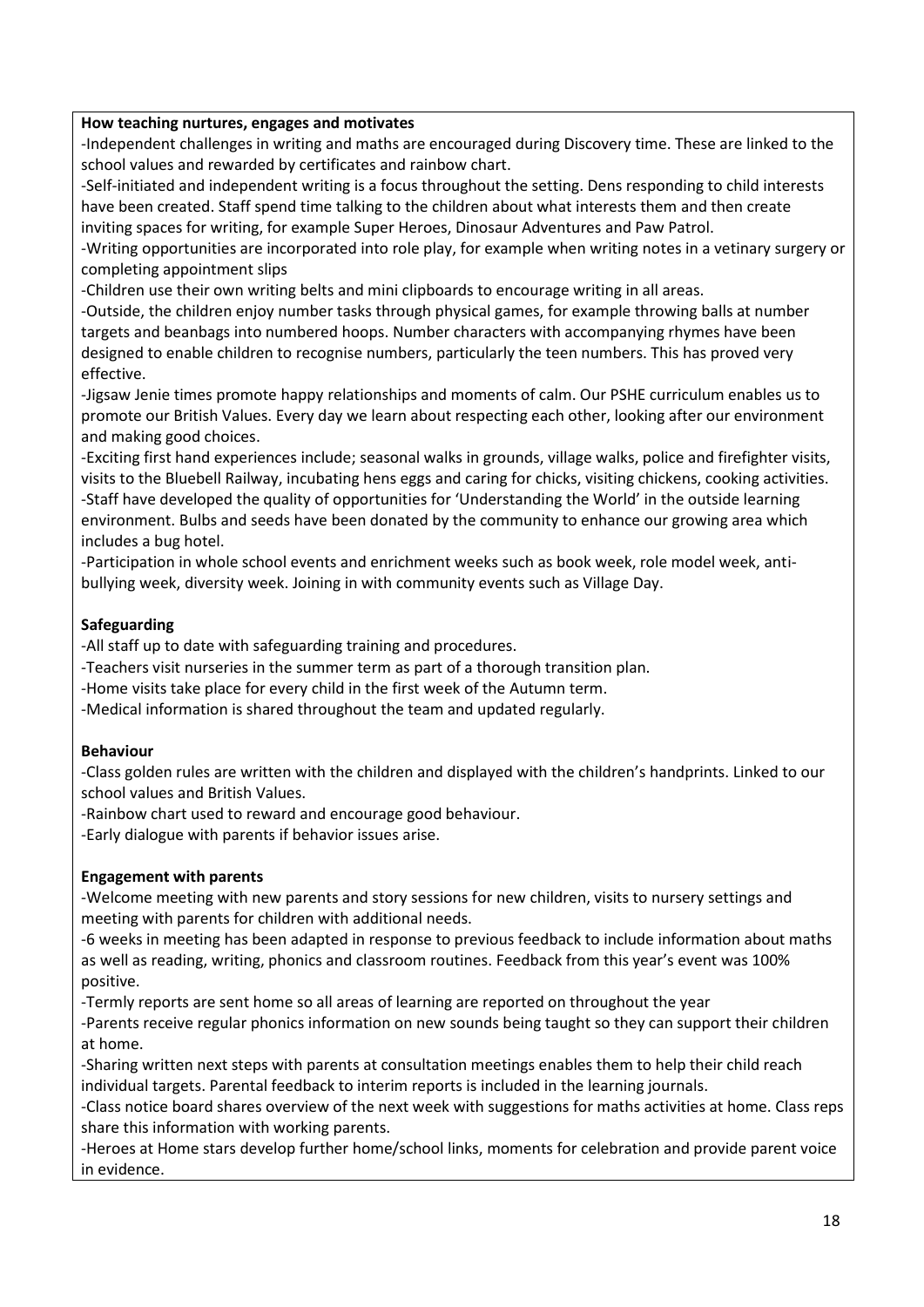#### **How teaching nurtures, engages and motivates**

-Independent challenges in writing and maths are encouraged during Discovery time. These are linked to the school values and rewarded by certificates and rainbow chart.

-Self-initiated and independent writing is a focus throughout the setting. Dens responding to child interests have been created. Staff spend time talking to the children about what interests them and then create inviting spaces for writing, for example Super Heroes, Dinosaur Adventures and Paw Patrol.

-Writing opportunities are incorporated into role play, for example when writing notes in a vetinary surgery or completing appointment slips

-Children use their own writing belts and mini clipboards to encourage writing in all areas.

-Outside, the children enjoy number tasks through physical games, for example throwing balls at number targets and beanbags into numbered hoops. Number characters with accompanying rhymes have been designed to enable children to recognise numbers, particularly the teen numbers. This has proved very effective.

-Jigsaw Jenie times promote happy relationships and moments of calm. Our PSHE curriculum enables us to promote our British Values. Every day we learn about respecting each other, looking after our environment and making good choices.

-Exciting first hand experiences include; seasonal walks in grounds, village walks, police and firefighter visits, visits to the Bluebell Railway, incubating hens eggs and caring for chicks, visiting chickens, cooking activities. -Staff have developed the quality of opportunities for 'Understanding the World' in the outside learning environment. Bulbs and seeds have been donated by the community to enhance our growing area which includes a bug hotel.

-Participation in whole school events and enrichment weeks such as book week, role model week, antibullying week, diversity week. Joining in with community events such as Village Day.

## **Safeguarding**

-All staff up to date with safeguarding training and procedures.

-Teachers visit nurseries in the summer term as part of a thorough transition plan.

-Home visits take place for every child in the first week of the Autumn term.

-Medical information is shared throughout the team and updated regularly.

## **Behaviour**

-Class golden rules are written with the children and displayed with the children's handprints. Linked to our school values and British Values.

-Rainbow chart used to reward and encourage good behaviour.

-Early dialogue with parents if behavior issues arise.

## **Engagement with parents**

-Welcome meeting with new parents and story sessions for new children, visits to nursery settings and meeting with parents for children with additional needs.

-6 weeks in meeting has been adapted in response to previous feedback to include information about maths as well as reading, writing, phonics and classroom routines. Feedback from this year's event was 100% positive.

-Termly reports are sent home so all areas of learning are reported on throughout the year

-Parents receive regular phonics information on new sounds being taught so they can support their children at home.

-Sharing written next steps with parents at consultation meetings enables them to help their child reach individual targets. Parental feedback to interim reports is included in the learning journals.

-Class notice board shares overview of the next week with suggestions for maths activities at home. Class reps share this information with working parents.

-Heroes at Home stars develop further home/school links, moments for celebration and provide parent voice in evidence.